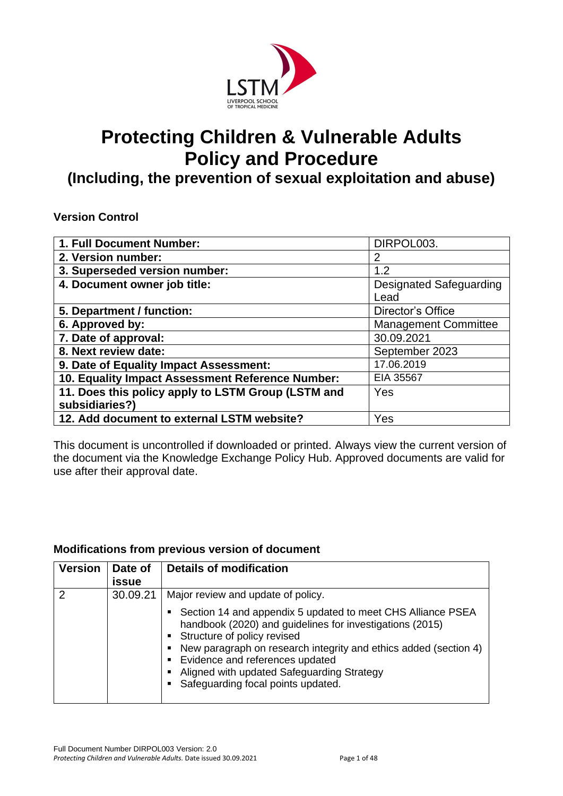

# **Protecting Children & Vulnerable Adults Policy and Procedure**

**(Including, the prevention of sexual exploitation and abuse)**

**Version Control**

| 1. Full Document Number:                           | DIRPOL003.                     |
|----------------------------------------------------|--------------------------------|
| 2. Version number:                                 | 2                              |
| 3. Superseded version number:                      | 1.2                            |
| 4. Document owner job title:                       | <b>Designated Safeguarding</b> |
|                                                    | Lead                           |
| 5. Department / function:                          | Director's Office              |
| 6. Approved by:                                    | <b>Management Committee</b>    |
| 7. Date of approval:                               | 30.09.2021                     |
| 8. Next review date:                               | September 2023                 |
| 9. Date of Equality Impact Assessment:             | 17.06.2019                     |
| 10. Equality Impact Assessment Reference Number:   | EIA 35567                      |
| 11. Does this policy apply to LSTM Group (LSTM and | Yes                            |
| subsidiaries?)                                     |                                |
| 12. Add document to external LSTM website?         | Yes                            |

This document is uncontrolled if downloaded or printed. Always view the current version of the document via the Knowledge Exchange Policy Hub. Approved documents are valid for use after their approval date.

#### **Modifications from previous version of document**

| <b>Version</b> | Date of<br>issue | <b>Details of modification</b>                                                                                                                                                                                                                                                                                                                            |
|----------------|------------------|-----------------------------------------------------------------------------------------------------------------------------------------------------------------------------------------------------------------------------------------------------------------------------------------------------------------------------------------------------------|
| 2              | 30.09.21         | Major review and update of policy.<br>• Section 14 and appendix 5 updated to meet CHS Alliance PSEA<br>handbook (2020) and guidelines for investigations (2015)<br>• Structure of policy revised<br>• New paragraph on research integrity and ethics added (section 4)<br>• Evidence and references updated<br>Aligned with updated Safeguarding Strategy |
|                |                  | • Safeguarding focal points updated.                                                                                                                                                                                                                                                                                                                      |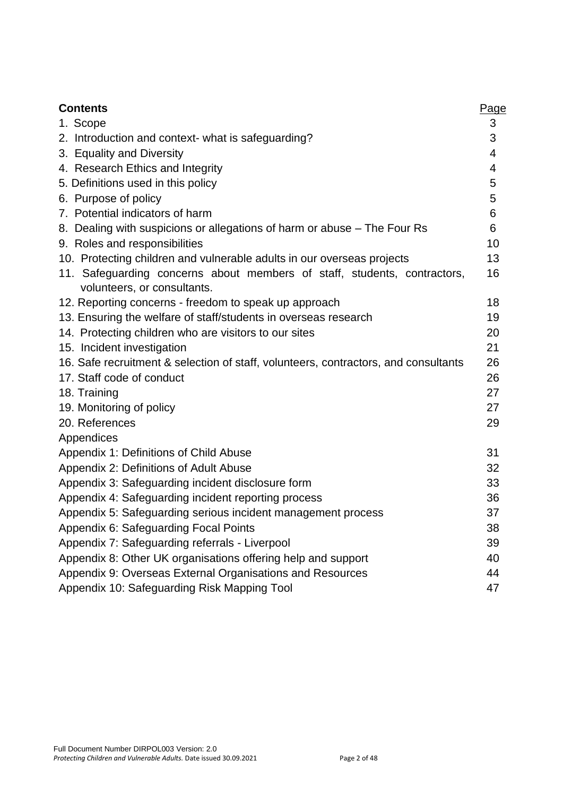| <b>Contents</b>                                                                                         | Page |
|---------------------------------------------------------------------------------------------------------|------|
| 1. Scope                                                                                                | 3    |
| 2. Introduction and context- what is safeguarding?                                                      | 3    |
| 3. Equality and Diversity                                                                               | 4    |
| 4. Research Ethics and Integrity                                                                        | 4    |
| 5. Definitions used in this policy                                                                      | 5    |
| 6. Purpose of policy                                                                                    | 5    |
| 7. Potential indicators of harm                                                                         | 6    |
| 8. Dealing with suspicions or allegations of harm or abuse - The Four Rs                                | 6    |
| 9. Roles and responsibilities                                                                           | 10   |
| 10. Protecting children and vulnerable adults in our overseas projects                                  | 13   |
| 11. Safeguarding concerns about members of staff, students, contractors,<br>volunteers, or consultants. | 16   |
| 12. Reporting concerns - freedom to speak up approach                                                   | 18   |
| 13. Ensuring the welfare of staff/students in overseas research                                         | 19   |
| 14. Protecting children who are visitors to our sites                                                   | 20   |
| 15. Incident investigation                                                                              | 21   |
| 16. Safe recruitment & selection of staff, volunteers, contractors, and consultants                     |      |
| 17. Staff code of conduct                                                                               | 26   |
| 18. Training                                                                                            | 27   |
| 19. Monitoring of policy                                                                                | 27   |
| 20. References                                                                                          | 29   |
| Appendices                                                                                              |      |
| Appendix 1: Definitions of Child Abuse                                                                  | 31   |
| Appendix 2: Definitions of Adult Abuse                                                                  | 32   |
| Appendix 3: Safeguarding incident disclosure form                                                       | 33   |
| Appendix 4: Safeguarding incident reporting process                                                     | 36   |
| Appendix 5: Safeguarding serious incident management process                                            | 37   |
| Appendix 6: Safeguarding Focal Points                                                                   | 38   |
| Appendix 7: Safeguarding referrals - Liverpool                                                          | 39   |
| Appendix 8: Other UK organisations offering help and support                                            | 40   |
| Appendix 9: Overseas External Organisations and Resources                                               | 44   |
| Appendix 10: Safeguarding Risk Mapping Tool                                                             | 47   |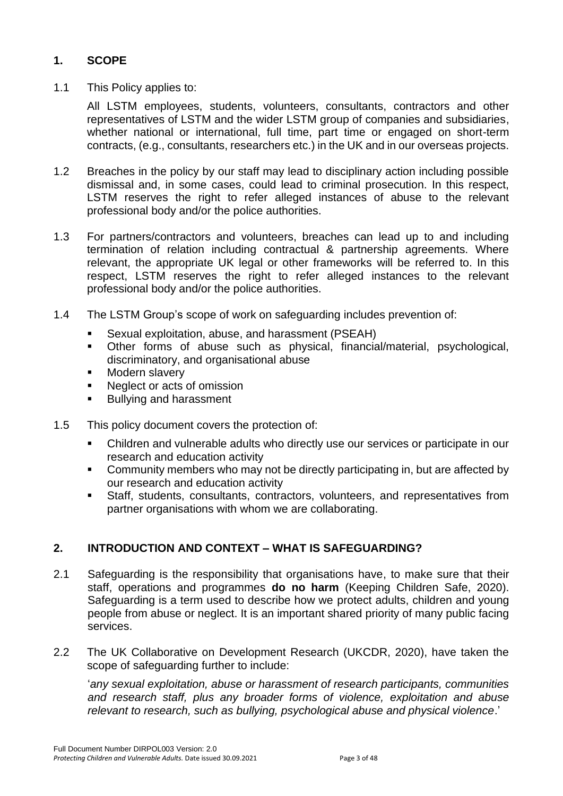### **1. SCOPE**

1.1 This Policy applies to:

All LSTM employees, students, volunteers, consultants, contractors and other representatives of LSTM and the wider LSTM group of companies and subsidiaries, whether national or international, full time, part time or engaged on short-term contracts, (e.g., consultants, researchers etc.) in the UK and in our overseas projects.

- 1.2 Breaches in the policy by our staff may lead to disciplinary action including possible dismissal and, in some cases, could lead to criminal prosecution. In this respect, LSTM reserves the right to refer alleged instances of abuse to the relevant professional body and/or the police authorities.
- 1.3 For partners/contractors and volunteers, breaches can lead up to and including termination of relation including contractual & partnership agreements. Where relevant, the appropriate UK legal or other frameworks will be referred to. In this respect, LSTM reserves the right to refer alleged instances to the relevant professional body and/or the police authorities.
- 1.4 The LSTM Group's scope of work on safeguarding includes prevention of:
	- Sexual exploitation, abuse, and harassment (PSEAH)
	- Other forms of abuse such as physical, financial/material, psychological, discriminatory, and organisational abuse
	- Modern slavery
	- Neglect or acts of omission
	- **Bullving and harassment**
- 1.5 This policy document covers the protection of:
	- Children and vulnerable adults who directly use our services or participate in our research and education activity
	- Community members who may not be directly participating in, but are affected by our research and education activity
	- Staff, students, consultants, contractors, volunteers, and representatives from partner organisations with whom we are collaborating.

### **2. INTRODUCTION AND CONTEXT – WHAT IS SAFEGUARDING?**

- 2.1 Safeguarding is the responsibility that organisations have, to make sure that their staff, operations and programmes **do no harm** (Keeping Children Safe, 2020). Safeguarding is a term used to describe how we protect adults, children and young people from abuse or neglect. It is an important shared priority of many public facing services.
- 2.2 The UK Collaborative on Development Research (UKCDR, 2020), have taken the scope of safeguarding further to include:

'*any sexual exploitation, abuse or harassment of research participants, communities and research staff, plus any broader forms of violence, exploitation and abuse relevant to research, such as bullying, psychological abuse and physical violence*.'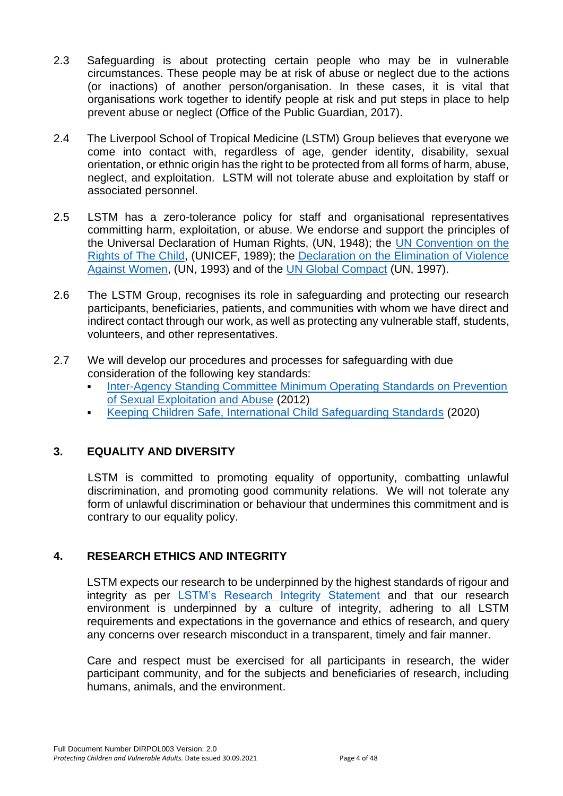- 2.3 Safeguarding is about protecting certain people who may be in vulnerable circumstances. These people may be at risk of abuse or neglect due to the actions (or inactions) of another person/organisation. In these cases, it is vital that organisations work together to identify people at risk and put steps in place to help prevent abuse or neglect (Office of the Public Guardian, 2017).
- 2.4 The Liverpool School of Tropical Medicine (LSTM) Group believes that everyone we come into contact with, regardless of age, gender identity, disability, sexual orientation, or ethnic origin has the right to be protected from all forms of harm, abuse, neglect, and exploitation. LSTM will not tolerate abuse and exploitation by staff or associated personnel.
- 2.5 LSTM has a zero-tolerance policy for staff and organisational representatives committing harm, exploitation, or abuse. We endorse and support the principles of the Universal Declaration of Human Rights, (UN, 1948); the [UN Convention on the](https://www.unicef.org.uk/what-we-do/un-convention-child-rights/)  [Rights of The Child,](https://www.unicef.org.uk/what-we-do/un-convention-child-rights/) (UNICEF, 1989); the [Declaration on the Elimination of Violence](http://www.un.org/ga/search/view_doc.asp?symbol=A/RES/48/104)  [Against Women,](http://www.un.org/ga/search/view_doc.asp?symbol=A/RES/48/104) (UN, 1993) and of the [UN Global Compact](https://www.unglobalcompact.org/what-is-gc/mission/principles) (UN, 1997).
- 2.6 The LSTM Group, recognises its role in safeguarding and protecting our research participants, beneficiaries, patients, and communities with whom we have direct and indirect contact through our work, as well as protecting any vulnerable staff, students, volunteers, and other representatives.
- 2.7 We will develop our procedures and processes for safeguarding with due consideration of the following key standards:
	- **Inter-Agency Standing Committee Minimum Operating Standards on Prevention** [of Sexual Exploitation and Abuse](https://interagencystandingcommittee.org/system/files/2020-03/Minimum%20operating%20standards-psea%20by%20own%20personnel%202012.pdf) (2012)
	- [Keeping Children Safe, International Child Safeguarding Standards](https://www.keepingchildrensafe.global/wp-content/uploads/2020/02/KCS-CS-Standards-ENG-200218.pdf) (2020)

### **3. EQUALITY AND DIVERSITY**

LSTM is committed to promoting equality of opportunity, combatting unlawful discrimination, and promoting good community relations. We will not tolerate any form of unlawful discrimination or behaviour that undermines this commitment and is contrary to our equality policy.

### **4. RESEARCH ETHICS AND INTEGRITY**

LSTM expects our research to be underpinned by the highest standards of rigour and integrity as per [LSTM's Research Integrity Statement](https://www.lstmed.ac.uk/research/research-integrity/lstm-research-integrity-statement) and that our research environment is underpinned by a culture of integrity, adhering to all LSTM requirements and expectations in the governance and ethics of research, and query any concerns over research misconduct in a transparent, timely and fair manner.

Care and respect must be exercised for all participants in research, the wider participant community, and for the subjects and beneficiaries of research, including humans, animals, and the environment.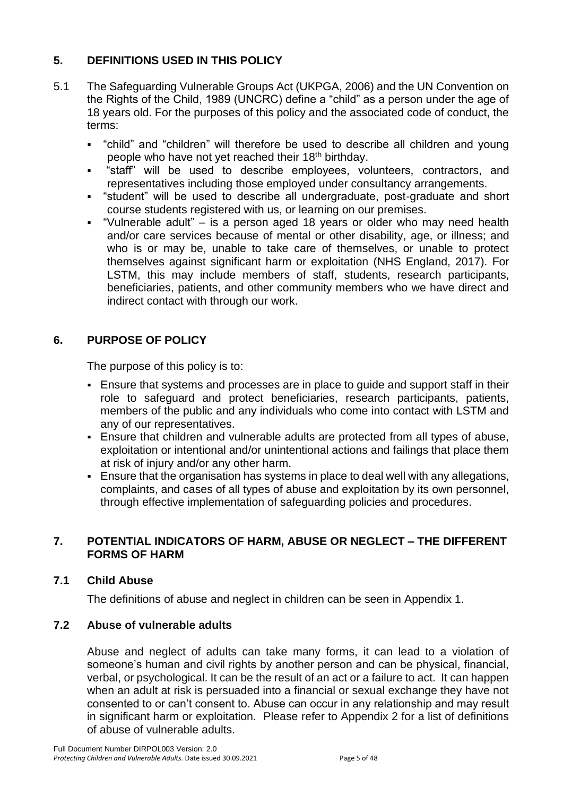### **5. DEFINITIONS USED IN THIS POLICY**

- 5.1 The Safeguarding Vulnerable Groups Act (UKPGA, 2006) and the UN Convention on the Rights of the Child, 1989 (UNCRC) define a "child" as a person under the age of 18 years old. For the purposes of this policy and the associated code of conduct, the terms:
	- "child" and "children" will therefore be used to describe all children and young people who have not yet reached their 18<sup>th</sup> birthday.
	- "staff" will be used to describe employees, volunteers, contractors, and representatives including those employed under consultancy arrangements.
	- "student" will be used to describe all undergraduate, post-graduate and short course students registered with us, or learning on our premises.
	- "Vulnerable adult"  $-$  is a person aged 18 years or older who may need health and/or care services because of mental or other disability, age, or illness; and who is or may be, unable to take care of themselves, or unable to protect themselves against significant harm or exploitation (NHS England, 2017). For LSTM, this may include members of staff, students, research participants, beneficiaries, patients, and other community members who we have direct and indirect contact with through our work.

### **6. PURPOSE OF POLICY**

The purpose of this policy is to:

- **Ensure that systems and processes are in place to quide and support staff in their** role to safeguard and protect beneficiaries, research participants, patients, members of the public and any individuals who come into contact with LSTM and any of our representatives.
- **Ensure that children and vulnerable adults are protected from all types of abuse,** exploitation or intentional and/or unintentional actions and failings that place them at risk of injury and/or any other harm.
- **Ensure that the organisation has systems in place to deal well with any allegations,** complaints, and cases of all types of abuse and exploitation by its own personnel, through effective implementation of safeguarding policies and procedures.

#### **7. POTENTIAL INDICATORS OF HARM, ABUSE OR NEGLECT – THE DIFFERENT FORMS OF HARM**

### **7.1 Child Abuse**

The definitions of abuse and neglect in children can be seen in Appendix 1.

### **7.2 Abuse of vulnerable adults**

Abuse and neglect of adults can take many forms, it can lead to a violation of someone's human and civil rights by another person and can be physical, financial, verbal, or psychological. It can be the result of an act or a failure to act. It can happen when an adult at risk is persuaded into a financial or sexual exchange they have not consented to or can't consent to. Abuse can occur in any relationship and may result in significant harm or exploitation. Please refer to Appendix 2 for a list of definitions of abuse of vulnerable adults.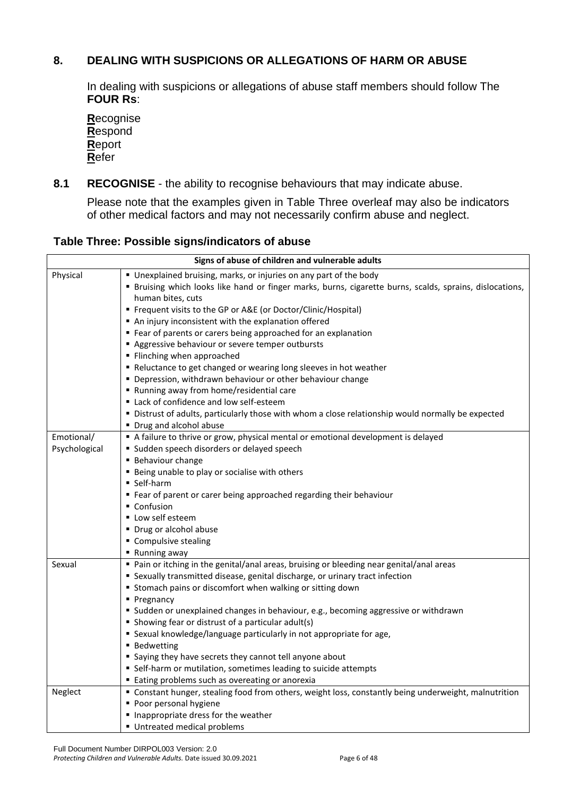### **8. DEALING WITH SUSPICIONS OR ALLEGATIONS OF HARM OR ABUSE**

In dealing with suspicions or allegations of abuse staff members should follow The **FOUR Rs**:

| <u>R</u> ecognise |
|-------------------|
| <u>R</u> espond   |
| <u>R</u> eport    |
| Refer             |

**8.1 RECOGNISE** - the ability to recognise behaviours that may indicate abuse.

Please note that the examples given in Table Three overleaf may also be indicators of other medical factors and may not necessarily confirm abuse and neglect.

| Signs of abuse of children and vulnerable adults |                                                                                                          |  |  |
|--------------------------------------------------|----------------------------------------------------------------------------------------------------------|--|--|
| Physical                                         | Unexplained bruising, marks, or injuries on any part of the body                                         |  |  |
|                                                  | " Bruising which looks like hand or finger marks, burns, cigarette burns, scalds, sprains, dislocations, |  |  |
|                                                  | human bites, cuts                                                                                        |  |  |
|                                                  | ■ Frequent visits to the GP or A&E (or Doctor/Clinic/Hospital)                                           |  |  |
|                                                  | An injury inconsistent with the explanation offered                                                      |  |  |
|                                                  | ■ Fear of parents or carers being approached for an explanation                                          |  |  |
|                                                  | Aggressive behaviour or severe temper outbursts                                                          |  |  |
|                                                  | • Flinching when approached                                                                              |  |  |
|                                                  | Reluctance to get changed or wearing long sleeves in hot weather                                         |  |  |
|                                                  | " Depression, withdrawn behaviour or other behaviour change                                              |  |  |
|                                                  | Running away from home/residential care                                                                  |  |  |
|                                                  | Lack of confidence and low self-esteem                                                                   |  |  |
|                                                  | " Distrust of adults, particularly those with whom a close relationship would normally be expected       |  |  |
|                                                  | " Drug and alcohol abuse                                                                                 |  |  |
| Emotional/                                       | A failure to thrive or grow, physical mental or emotional development is delayed                         |  |  |
| Psychological                                    | " Sudden speech disorders or delayed speech                                                              |  |  |
|                                                  | <b>Behaviour change</b>                                                                                  |  |  |
|                                                  | <b>Being unable to play or socialise with others</b>                                                     |  |  |
|                                                  | ■ Self-harm                                                                                              |  |  |
|                                                  | ■ Fear of parent or carer being approached regarding their behaviour                                     |  |  |
|                                                  | ■ Confusion                                                                                              |  |  |
|                                                  | Low self esteem                                                                                          |  |  |
|                                                  | • Drug or alcohol abuse                                                                                  |  |  |
|                                                  | Compulsive stealing                                                                                      |  |  |
|                                                  | ■ Running away                                                                                           |  |  |
| Sexual                                           | " Pain or itching in the genital/anal areas, bruising or bleeding near genital/anal areas                |  |  |
|                                                  | " Sexually transmitted disease, genital discharge, or urinary tract infection                            |  |  |
|                                                  | " Stomach pains or discomfort when walking or sitting down                                               |  |  |
|                                                  | Pregnancy                                                                                                |  |  |
|                                                  | " Sudden or unexplained changes in behaviour, e.g., becoming aggressive or withdrawn                     |  |  |
|                                                  | • Showing fear or distrust of a particular adult(s)                                                      |  |  |
|                                                  | " Sexual knowledge/language particularly in not appropriate for age,                                     |  |  |
|                                                  | ■ Bedwetting                                                                                             |  |  |
|                                                  | " Saying they have secrets they cannot tell anyone about                                                 |  |  |
|                                                  | • Self-harm or mutilation, sometimes leading to suicide attempts                                         |  |  |
|                                                  | Eating problems such as overeating or anorexia                                                           |  |  |
| Neglect                                          | " Constant hunger, stealing food from others, weight loss, constantly being underweight, malnutrition    |  |  |
|                                                  | • Poor personal hygiene                                                                                  |  |  |
|                                                  | Inappropriate dress for the weather                                                                      |  |  |
|                                                  | Untreated medical problems                                                                               |  |  |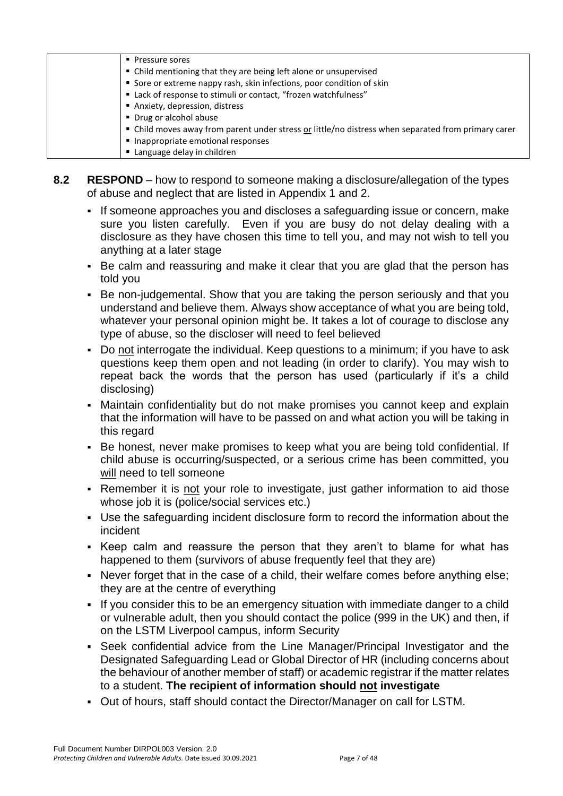| • Pressure sores                                                                                    |
|-----------------------------------------------------------------------------------------------------|
| • Child mentioning that they are being left alone or unsupervised                                   |
| • Sore or extreme nappy rash, skin infections, poor condition of skin                               |
| " Lack of response to stimuli or contact, "frozen watchfulness"                                     |
| Anxiety, depression, distress                                                                       |
| • Drug or alcohol abuse                                                                             |
| • Child moves away from parent under stress or little/no distress when separated from primary carer |
| ■ Inappropriate emotional responses                                                                 |
|                                                                                                     |

- Language delay in children
- **8.2 RESPOND**  how to respond to someone making a disclosure/allegation of the types of abuse and neglect that are listed in Appendix 1 and 2.
	- **EXED** If some one approaches you and discloses a safeguarding issue or concern, make sure you listen carefully. Even if you are busy do not delay dealing with a disclosure as they have chosen this time to tell you, and may not wish to tell you anything at a later stage
	- Be calm and reassuring and make it clear that you are glad that the person has told you
	- Be non-judgemental. Show that you are taking the person seriously and that you understand and believe them. Always show acceptance of what you are being told, whatever your personal opinion might be. It takes a lot of courage to disclose any type of abuse, so the discloser will need to feel believed
	- Do not interrogate the individual. Keep questions to a minimum; if you have to ask questions keep them open and not leading (in order to clarify). You may wish to repeat back the words that the person has used (particularly if it's a child disclosing)
	- Maintain confidentiality but do not make promises you cannot keep and explain that the information will have to be passed on and what action you will be taking in this regard
	- Be honest, never make promises to keep what you are being told confidential. If child abuse is occurring/suspected, or a serious crime has been committed, you will need to tell someone
	- **Remember it is not your role to investigate, just gather information to aid those** whose job it is (police/social services etc.)
	- Use the safeguarding incident disclosure form to record the information about the incident
	- Keep calm and reassure the person that they aren't to blame for what has happened to them (survivors of abuse frequently feel that they are)
	- Never forget that in the case of a child, their welfare comes before anything else; they are at the centre of everything
	- If you consider this to be an emergency situation with immediate danger to a child or vulnerable adult, then you should contact the police (999 in the UK) and then, if on the LSTM Liverpool campus, inform Security
	- Seek confidential advice from the Line Manager/Principal Investigator and the Designated Safeguarding Lead or Global Director of HR (including concerns about the behaviour of another member of staff) or academic registrar if the matter relates to a student. **The recipient of information should not investigate**
	- Out of hours, staff should contact the Director/Manager on call for LSTM.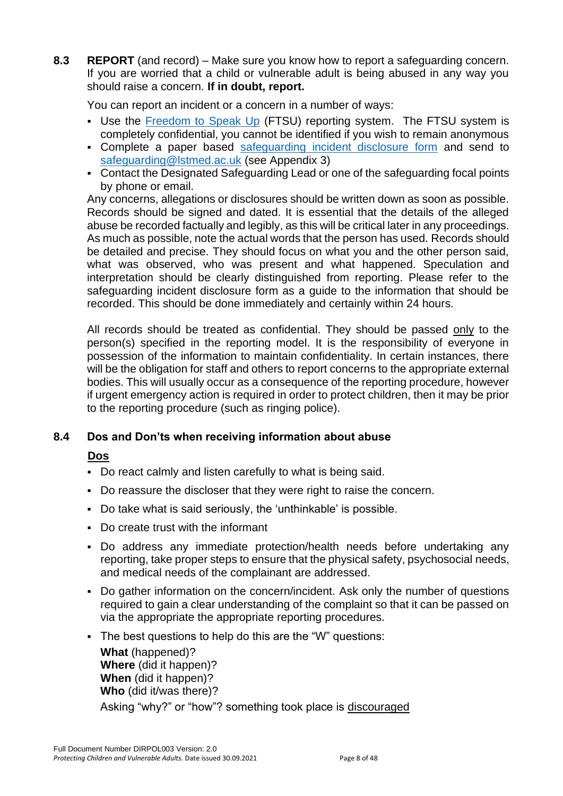**8.3 REPORT** (and record) – Make sure you know how to report a safeguarding concern. If you are worried that a child or vulnerable adult is being abused in any way you should raise a concern. **If in doubt, report.**

You can report an incident or a concern in a number of ways:

- Use the [Freedom to Speak Up](https://lstmed.sharepoint.com/Safeguarding/Pages/Freedom-To-Speak-Up.aspx) (FTSU) reporting system. The FTSU system is completely confidential, you cannot be identified if you wish to remain anonymous
- Complete a paper based [safeguarding incident disclosure form](https://www.lstmed.ac.uk/sites/default/files/content/page/attachments/LSTM%20Safeguarding%20incident%20disclosure%20form%20V1%2003.12.18.pdf) and send to [safeguarding@lstmed.ac.uk](mailto:safeguarding@lstmed.ac.uk) (see Appendix 3)
- Contact the Designated Safeguarding Lead or one of the safeguarding focal points by phone or email.

Any concerns, allegations or disclosures should be written down as soon as possible. Records should be signed and dated. It is essential that the details of the alleged abuse be recorded factually and legibly, as this will be critical later in any proceedings. As much as possible, note the actual words that the person has used. Records should be detailed and precise. They should focus on what you and the other person said, what was observed, who was present and what happened. Speculation and interpretation should be clearly distinguished from reporting. Please refer to the safeguarding incident disclosure form as a guide to the information that should be recorded. This should be done immediately and certainly within 24 hours.

All records should be treated as confidential. They should be passed only to the person(s) specified in the reporting model. It is the responsibility of everyone in possession of the information to maintain confidentiality. In certain instances, there will be the obligation for staff and others to report concerns to the appropriate external bodies. This will usually occur as a consequence of the reporting procedure, however if urgent emergency action is required in order to protect children, then it may be prior to the reporting procedure (such as ringing police).

### **8.4 Dos and Don'ts when receiving information about abuse**

#### **Dos**

- Do react calmly and listen carefully to what is being said.
- Do reassure the discloser that they were right to raise the concern.
- Do take what is said seriously, the 'unthinkable' is possible.
- Do create trust with the informant
- Do address any immediate protection/health needs before undertaking any reporting, take proper steps to ensure that the physical safety, psychosocial needs, and medical needs of the complainant are addressed.
- Do gather information on the concern/incident. Ask only the number of questions required to gain a clear understanding of the complaint so that it can be passed on via the appropriate the appropriate reporting procedures.
- The best questions to help do this are the "W" questions:

**What** (happened)? **Where** (did it happen)? **When** (did it happen)? **Who** (did it/was there)? Asking "why?" or "how"? something took place is discouraged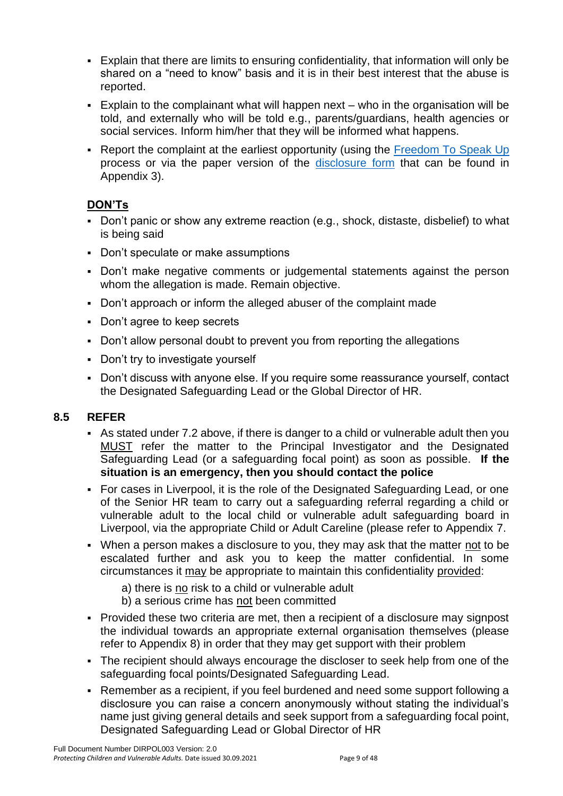- Explain that there are limits to ensuring confidentiality, that information will only be shared on a "need to know" basis and it is in their best interest that the abuse is reported.
- $\blacksquare$  Explain to the complainant what will happen next who in the organisation will be told, and externally who will be told e.g., parents/guardians, health agencies or social services. Inform him/her that they will be informed what happens.
- **Report the complaint at the earliest opportunity (using the [Freedom To Speak Up](https://lstmed.sharepoint.com/Safeguarding/Pages/Freedom-To-Speak-Up.aspx)** process or via the paper version of the [disclosure form](https://www.lstmed.ac.uk/sites/default/files/content/page/attachments/LSTM%20Safeguarding%20incident%20disclosure%20form%20V1%2003.12.18.pdf) that can be found in Appendix 3).

### **DON'Ts**

- Don't panic or show any extreme reaction (e.g., shock, distaste, disbelief) to what is being said
- Don't speculate or make assumptions
- Don't make negative comments or judgemental statements against the person whom the allegation is made. Remain objective.
- Don't approach or inform the alleged abuser of the complaint made
- Don't agree to keep secrets
- Don't allow personal doubt to prevent you from reporting the allegations
- Don't try to investigate yourself
- Don't discuss with anyone else. If you require some reassurance yourself, contact the Designated Safeguarding Lead or the Global Director of HR.

### **8.5 REFER**

- As stated under 7.2 above, if there is danger to a child or vulnerable adult then you MUST refer the matter to the Principal Investigator and the Designated Safeguarding Lead (or a safeguarding focal point) as soon as possible. **If the situation is an emergency, then you should contact the police**
- For cases in Liverpool, it is the role of the Designated Safeguarding Lead, or one of the Senior HR team to carry out a safeguarding referral regarding a child or vulnerable adult to the local child or vulnerable adult safeguarding board in Liverpool, via the appropriate Child or Adult Careline (please refer to Appendix 7.
- When a person makes a disclosure to you, they may ask that the matter not to be escalated further and ask you to keep the matter confidential. In some circumstances it may be appropriate to maintain this confidentiality provided:
	- a) there is no risk to a child or vulnerable adult
	- b) a serious crime has not been committed
- Provided these two criteria are met, then a recipient of a disclosure may signpost the individual towards an appropriate external organisation themselves (please refer to Appendix 8) in order that they may get support with their problem
- **The recipient should always encourage the discloser to seek help from one of the** safeguarding focal points/Designated Safeguarding Lead.
- Remember as a recipient, if you feel burdened and need some support following a disclosure you can raise a concern anonymously without stating the individual's name just giving general details and seek support from a safeguarding focal point, Designated Safeguarding Lead or Global Director of HR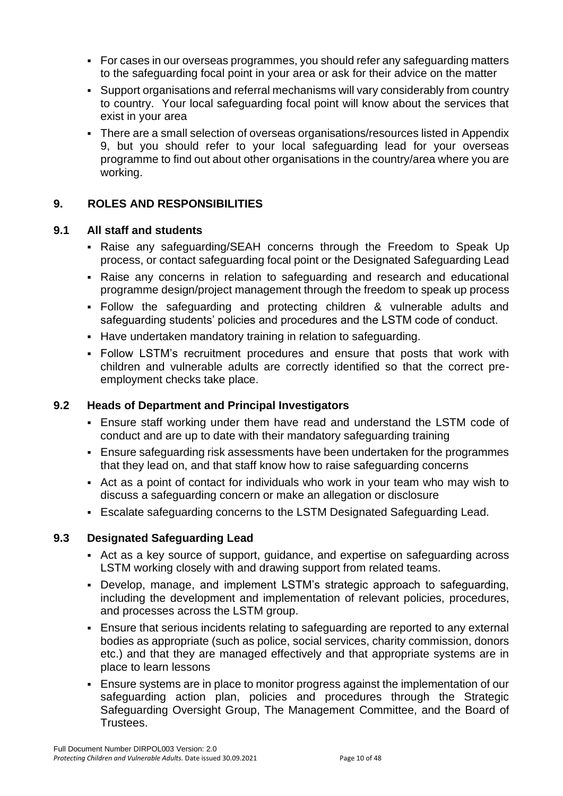- For cases in our overseas programmes, you should refer any safeguarding matters to the safeguarding focal point in your area or ask for their advice on the matter
- Support organisations and referral mechanisms will vary considerably from country to country. Your local safeguarding focal point will know about the services that exist in your area
- There are a small selection of overseas organisations/resources listed in Appendix 9, but you should refer to your local safeguarding lead for your overseas programme to find out about other organisations in the country/area where you are working.

### **9. ROLES AND RESPONSIBILITIES**

#### **9.1 All staff and students**

- Raise any safeguarding/SEAH concerns through the Freedom to Speak Up process, or contact safeguarding focal point or the Designated Safeguarding Lead
- Raise any concerns in relation to safeguarding and research and educational programme design/project management through the freedom to speak up process
- Follow the safeguarding and protecting children & vulnerable adults and safeguarding students' policies and procedures and the LSTM code of conduct.
- **EXTENCE 15 Have undertaken mandatory training in relation to safeguarding.**
- Follow LSTM's recruitment procedures and ensure that posts that work with children and vulnerable adults are correctly identified so that the correct preemployment checks take place.

### **9.2 Heads of Department and Principal Investigators**

- **Ensure staff working under them have read and understand the LSTM code of** conduct and are up to date with their mandatory safeguarding training
- **Ensure safeguarding risk assessments have been undertaken for the programmes** that they lead on, and that staff know how to raise safeguarding concerns
- Act as a point of contact for individuals who work in your team who may wish to discuss a safeguarding concern or make an allegation or disclosure
- **E** Escalate safeguarding concerns to the LSTM Designated Safeguarding Lead.

### **9.3 Designated Safeguarding Lead**

- Act as a key source of support, guidance, and expertise on safeguarding across LSTM working closely with and drawing support from related teams.
- Develop, manage, and implement LSTM's strategic approach to safeguarding, including the development and implementation of relevant policies, procedures, and processes across the LSTM group.
- **Ensure that serious incidents relating to safeguarding are reported to any external** bodies as appropriate (such as police, social services, charity commission, donors etc.) and that they are managed effectively and that appropriate systems are in place to learn lessons
- Ensure systems are in place to monitor progress against the implementation of our safeguarding action plan, policies and procedures through the Strategic Safeguarding Oversight Group, The Management Committee, and the Board of **Trustees**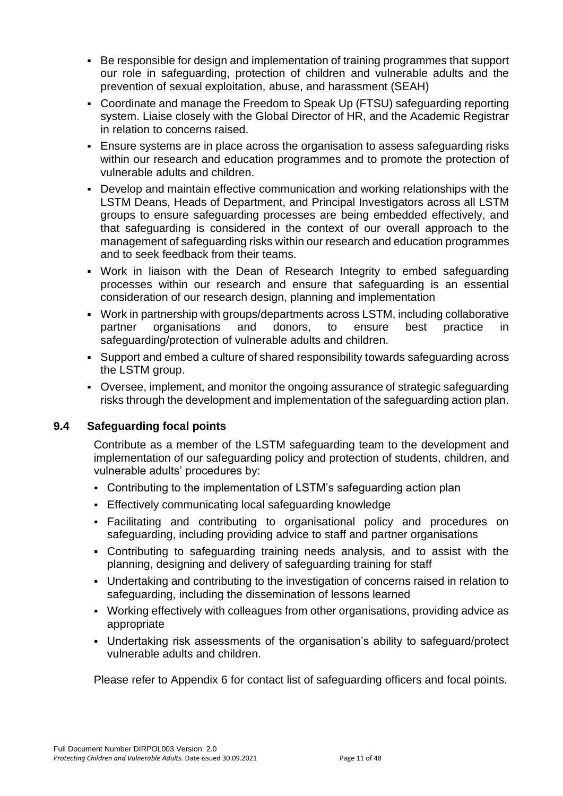- Be responsible for design and implementation of training programmes that support our role in safeguarding, protection of children and vulnerable adults and the prevention of sexual exploitation, abuse, and harassment (SEAH)
- Coordinate and manage the Freedom to Speak Up (FTSU) safeguarding reporting system. Liaise closely with the Global Director of HR, and the Academic Registrar in relation to concerns raised.
- **Ensure systems are in place across the organisation to assess safeguarding risks** within our research and education programmes and to promote the protection of vulnerable adults and children.
- Develop and maintain effective communication and working relationships with the LSTM Deans, Heads of Department, and Principal Investigators across all LSTM groups to ensure safeguarding processes are being embedded effectively, and that safeguarding is considered in the context of our overall approach to the management of safeguarding risks within our research and education programmes and to seek feedback from their teams.
- Work in liaison with the Dean of Research Integrity to embed safeguarding processes within our research and ensure that safeguarding is an essential consideration of our research design, planning and implementation
- Work in partnership with groups/departments across LSTM, including collaborative partner organisations and donors, to ensure best practice in safeguarding/protection of vulnerable adults and children.
- Support and embed a culture of shared responsibility towards safeguarding across the LSTM group.
- Oversee, implement, and monitor the ongoing assurance of strategic safeguarding risks through the development and implementation of the safeguarding action plan.

### **9.4 Safeguarding focal points**

Contribute as a member of the LSTM safeguarding team to the development and implementation of our safeguarding policy and protection of students, children, and vulnerable adults' procedures by:

- Contributing to the implementation of LSTM's safeguarding action plan
- **Effectively communicating local safeguarding knowledge**
- Facilitating and contributing to organisational policy and procedures on safeguarding, including providing advice to staff and partner organisations
- Contributing to safeguarding training needs analysis, and to assist with the planning, designing and delivery of safeguarding training for staff
- Undertaking and contributing to the investigation of concerns raised in relation to safeguarding, including the dissemination of lessons learned
- Working effectively with colleagues from other organisations, providing advice as appropriate
- Undertaking risk assessments of the organisation's ability to safeguard/protect vulnerable adults and children.

Please refer to Appendix 6 for contact list of safeguarding officers and focal points.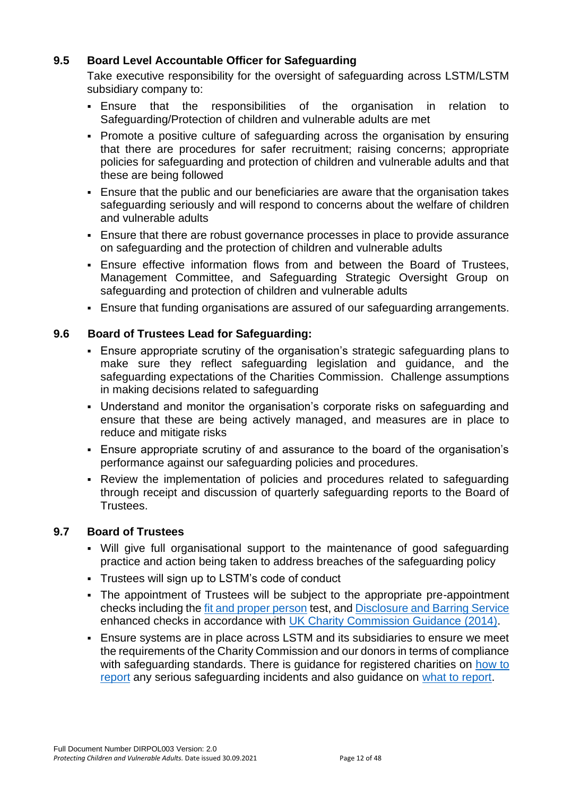### **9.5 Board Level Accountable Officer for Safeguarding**

Take executive responsibility for the oversight of safeguarding across LSTM/LSTM subsidiary company to:

- Ensure that the responsibilities of the organisation in relation to Safeguarding/Protection of children and vulnerable adults are met
- Promote a positive culture of safeguarding across the organisation by ensuring that there are procedures for safer recruitment; raising concerns; appropriate policies for safeguarding and protection of children and vulnerable adults and that these are being followed
- Ensure that the public and our beneficiaries are aware that the organisation takes safeguarding seriously and will respond to concerns about the welfare of children and vulnerable adults
- **Ensure that there are robust governance processes in place to provide assurance** on safeguarding and the protection of children and vulnerable adults
- **Ensure effective information flows from and between the Board of Trustees,** Management Committee, and Safeguarding Strategic Oversight Group on safeguarding and protection of children and vulnerable adults
- Ensure that funding organisations are assured of our safeguarding arrangements.

#### **9.6 Board of Trustees Lead for Safeguarding:**

- Ensure appropriate scrutiny of the organisation's strategic safeguarding plans to make sure they reflect safeguarding legislation and guidance, and the safeguarding expectations of the Charities Commission. Challenge assumptions in making decisions related to safeguarding
- Understand and monitor the organisation's corporate risks on safeguarding and ensure that these are being actively managed, and measures are in place to reduce and mitigate risks
- Ensure appropriate scrutiny of and assurance to the board of the organisation's performance against our safeguarding policies and procedures.
- Review the implementation of policies and procedures related to safeguarding through receipt and discussion of quarterly safeguarding reports to the Board of Trustees.

#### **9.7 Board of Trustees**

- Will give full organisational support to the maintenance of good safeguarding practice and action being taken to address breaches of the safeguarding policy
- Trustees will sign up to LSTM's code of conduct
- The appointment of Trustees will be subject to the appropriate pre-appointment checks including the [fit and proper person](https://www.gov.uk/government/publications/charities-fit-and-proper-persons-test/guidance-on-the-fit-and-proper-persons-test) test, an[d Disclosure and Barring Service](https://www.gov.uk/dbs-check-applicant-criminal-record) enhanced checks in accordance with [UK Charity Commission Guidance](https://www.gov.uk/government/publications/safeguarding-children-and-young-people) (2014).
- **Ensure systems are in place across LSTM and its subsidiaries to ensure we meet** the requirements of the Charity Commission and our donors in terms of compliance with safeguarding standards. There is guidance for registered charities on how to [report](https://www.gov.uk/guidance/how-to-report-a-serious-incident-in-your-charity) any serious safeguarding incidents and also guidance on [what to report.](https://assets.publishing.service.gov.uk/government/uploads/system/uploads/attachment_data/file/752170/RSI_guidance_what_to_do_if_something_goes_wrong_Examples_table_deciding_what_to_report.pdf)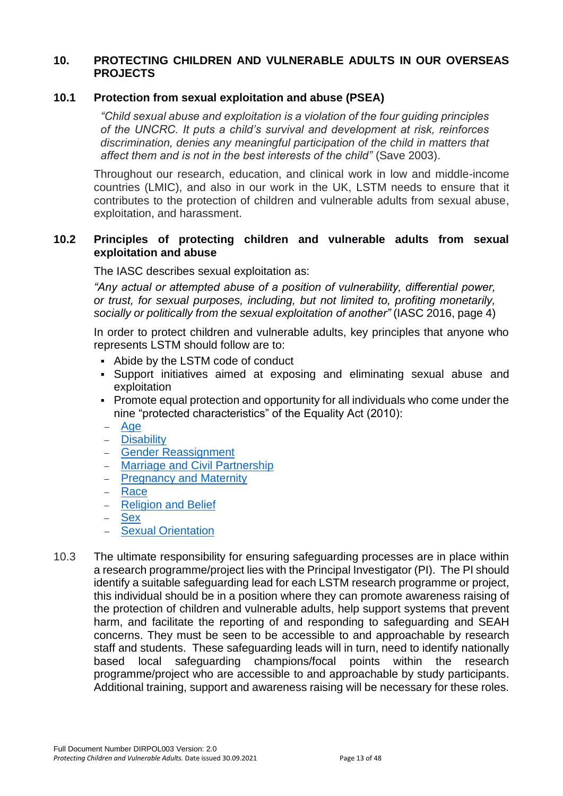#### **10. PROTECTING CHILDREN AND VULNERABLE ADULTS IN OUR OVERSEAS PROJECTS**

#### **10.1 Protection from sexual exploitation and abuse (PSEA)**

*"Child sexual abuse and exploitation is a violation of the four guiding principles of the UNCRC. It puts a child's survival and development at risk, reinforces discrimination, denies any meaningful participation of the child in matters that affect them and is not in the best interests of the child"* (Save 2003).

Throughout our research, education, and clinical work in low and middle-income countries (LMIC), and also in our work in the UK, LSTM needs to ensure that it contributes to the protection of children and vulnerable adults from sexual abuse, exploitation, and harassment.

#### **10.2 Principles of protecting children and vulnerable adults from sexual exploitation and abuse**

The IASC describes sexual exploitation as:

*"Any actual or attempted abuse of a position of vulnerability, differential power, or trust, for sexual purposes, including, but not limited to, profiting monetarily, socially or politically from the sexual exploitation of another"* (IASC 2016, page 4)

In order to protect children and vulnerable adults, key principles that anyone who represents LSTM should follow are to:

- Abide by the LSTM code of conduct
- Support initiatives aimed at exposing and eliminating sexual abuse and exploitation
- Promote equal protection and opportunity for all individuals who come under the nine "protected characteristics" of the Equality Act (2010):
- [Age](https://www4.ntu.ac.uk/equality-diversity-inclusion/governance/protected-characteristics/age.html)
- − [Disability](https://www4.ntu.ac.uk/equality-diversity-inclusion/governance/protected-characteristics/disability.html)
- − [Gender Reassignment](https://www4.ntu.ac.uk/equality-diversity-inclusion/governance/protected-characteristics/gender-reassignment.html)
- − [Marriage and Civil Partnership](https://www4.ntu.ac.uk/equality-diversity-inclusion/governance/protected-characteristics/marriage-civil-partnership.html)
- − [Pregnancy and Maternity](https://www4.ntu.ac.uk/equality-diversity-inclusion/governance/protected-characteristics/181487.html)
- − [Race](https://www4.ntu.ac.uk/equality-diversity-inclusion/governance/protected-characteristics/race.html)
- − [Religion and Belief](https://www4.ntu.ac.uk/equality-diversity-inclusion/governance/protected-characteristics/religion-and-belief.html)
- [Sex](https://www4.ntu.ac.uk/equality-diversity-inclusion/governance/protected-characteristics/sex.html)
- − [Sexual Orientation](https://www4.ntu.ac.uk/equality-diversity-inclusion/governance/protected-characteristics/sexual-orientation.html)
- 10.3 The ultimate responsibility for ensuring safeguarding processes are in place within a research programme/project lies with the Principal Investigator (PI). The PI should identify a suitable safeguarding lead for each LSTM research programme or project, this individual should be in a position where they can promote awareness raising of the protection of children and vulnerable adults, help support systems that prevent harm, and facilitate the reporting of and responding to safeguarding and SEAH concerns. They must be seen to be accessible to and approachable by research staff and students. These safeguarding leads will in turn, need to identify nationally based local safeguarding champions/focal points within the research programme/project who are accessible to and approachable by study participants. Additional training, support and awareness raising will be necessary for these roles.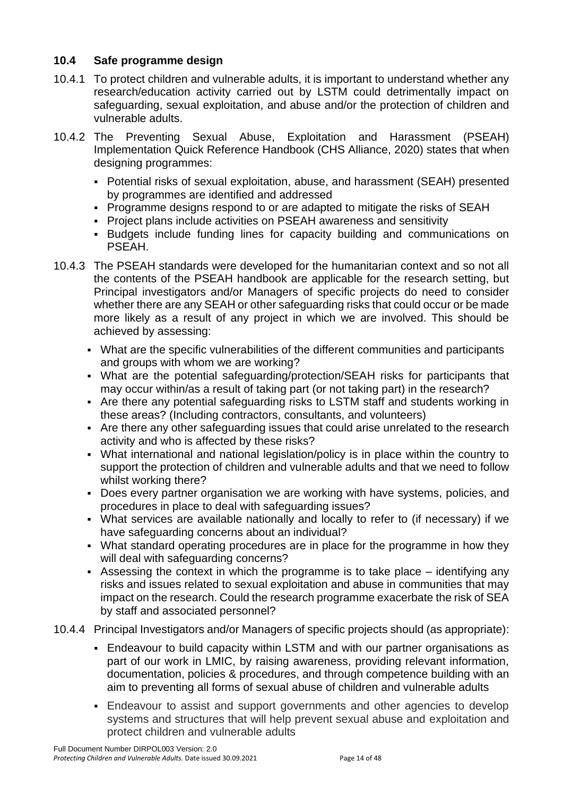### **10.4 Safe programme design**

- 10.4.1 To protect children and vulnerable adults, it is important to understand whether any research/education activity carried out by LSTM could detrimentally impact on safeguarding, sexual exploitation, and abuse and/or the protection of children and vulnerable adults.
- 10.4.2 The Preventing Sexual Abuse, Exploitation and Harassment (PSEAH) Implementation Quick Reference Handbook (CHS Alliance, 2020) states that when designing programmes:
	- Potential risks of sexual exploitation, abuse, and harassment (SEAH) presented by programmes are identified and addressed
	- Programme designs respond to or are adapted to mitigate the risks of SEAH
	- Project plans include activities on PSEAH awareness and sensitivity
	- **Budgets include funding lines for capacity building and communications on** PSEAH.
- 10.4.3 The PSEAH standards were developed for the humanitarian context and so not all the contents of the PSEAH handbook are applicable for the research setting, but Principal investigators and/or Managers of specific projects do need to consider whether there are any SEAH or other safeguarding risks that could occur or be made more likely as a result of any project in which we are involved. This should be achieved by assessing:
	- What are the specific vulnerabilities of the different communities and participants and groups with whom we are working?
	- What are the potential safeguarding/protection/SEAH risks for participants that may occur within/as a result of taking part (or not taking part) in the research?
	- Are there any potential safeguarding risks to LSTM staff and students working in these areas? (Including contractors, consultants, and volunteers)
	- Are there any other safeguarding issues that could arise unrelated to the research activity and who is affected by these risks?
	- What international and national legislation/policy is in place within the country to support the protection of children and vulnerable adults and that we need to follow whilst working there?
	- Does every partner organisation we are working with have systems, policies, and procedures in place to deal with safeguarding issues?
	- What services are available nationally and locally to refer to (if necessary) if we have safeguarding concerns about an individual?
	- What standard operating procedures are in place for the programme in how they will deal with safeguarding concerns?
	- **EXECT** Assessing the context in which the programme is to take place  $-$  identifying any risks and issues related to sexual exploitation and abuse in communities that may impact on the research. Could the research programme exacerbate the risk of SEA by staff and associated personnel?
- 10.4.4 Principal Investigators and/or Managers of specific projects should (as appropriate):
	- **Endeavour to build capacity within LSTM and with our partner organisations as** part of our work in LMIC, by raising awareness, providing relevant information, documentation, policies & procedures, and through competence building with an aim to preventing all forms of sexual abuse of children and vulnerable adults
	- **Endeavour to assist and support governments and other agencies to develop** systems and structures that will help prevent sexual abuse and exploitation and protect children and vulnerable adults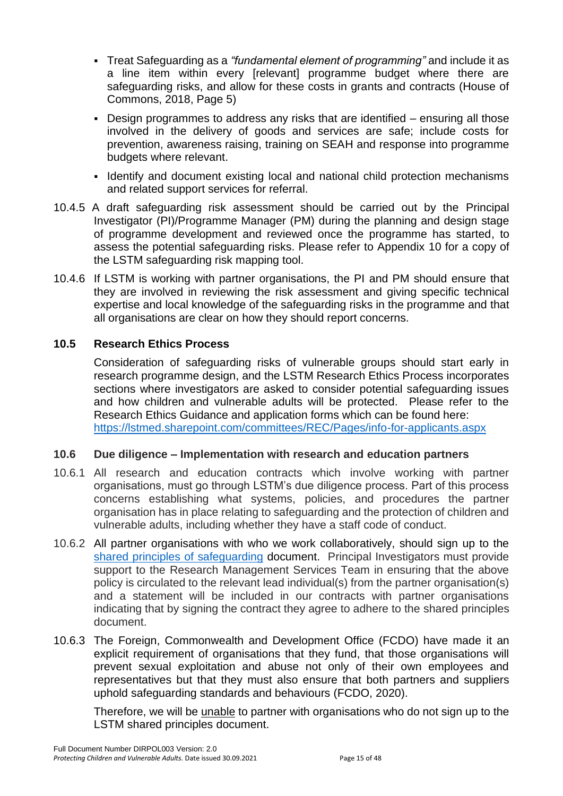- Treat Safeguarding as a *"fundamental element of programming"* and include it as a line item within every [relevant] programme budget where there are safeguarding risks, and allow for these costs in grants and contracts (House of Commons, 2018, Page 5)
- Design programmes to address any risks that are identified ensuring all those involved in the delivery of goods and services are safe; include costs for prevention, awareness raising, training on SEAH and response into programme budgets where relevant.
- **EXECT** Identify and document existing local and national child protection mechanisms and related support services for referral.
- 10.4.5 A draft safeguarding risk assessment should be carried out by the Principal Investigator (PI)/Programme Manager (PM) during the planning and design stage of programme development and reviewed once the programme has started, to assess the potential safeguarding risks. Please refer to Appendix 10 for a copy of the LSTM safeguarding risk mapping tool.
- 10.4.6 If LSTM is working with partner organisations, the PI and PM should ensure that they are involved in reviewing the risk assessment and giving specific technical expertise and local knowledge of the safeguarding risks in the programme and that all organisations are clear on how they should report concerns.

### **10.5 Research Ethics Process**

Consideration of safeguarding risks of vulnerable groups should start early in research programme design, and the LSTM Research Ethics Process incorporates sections where investigators are asked to consider potential safeguarding issues and how children and vulnerable adults will be protected. Please refer to the Research Ethics Guidance and application forms which can be found here: <https://lstmed.sharepoint.com/committees/REC/Pages/info-for-applicants.aspx>

### **10.6 Due diligence – Implementation with research and education partners**

- 10.6.1 All research and education contracts which involve working with partner organisations, must go through LSTM's due diligence process. Part of this process concerns establishing what systems, policies, and procedures the partner organisation has in place relating to safeguarding and the protection of children and vulnerable adults, including whether they have a staff code of conduct.
- 10.6.2 All partner organisations with who we work collaboratively, should sign up to the [shared principles of safeguarding](https://www.lstmed.ac.uk/sites/default/files/Shared%20principles%20for%20safeguarding%20for%20joint%20projects%20between%20LSTM%20and%20collaborating%20partners.pdf) document. Principal Investigators must provide support to the Research Management Services Team in ensuring that the above policy is circulated to the relevant lead individual(s) from the partner organisation(s) and a statement will be included in our contracts with partner organisations indicating that by signing the contract they agree to adhere to the shared principles document.
- 10.6.3 The Foreign, Commonwealth and Development Office (FCDO) have made it an explicit requirement of organisations that they fund, that those organisations will prevent sexual exploitation and abuse not only of their own employees and representatives but that they must also ensure that both partners and suppliers uphold safeguarding standards and behaviours (FCDO, 2020).

Therefore, we will be unable to partner with organisations who do not sign up to the LSTM shared principles document.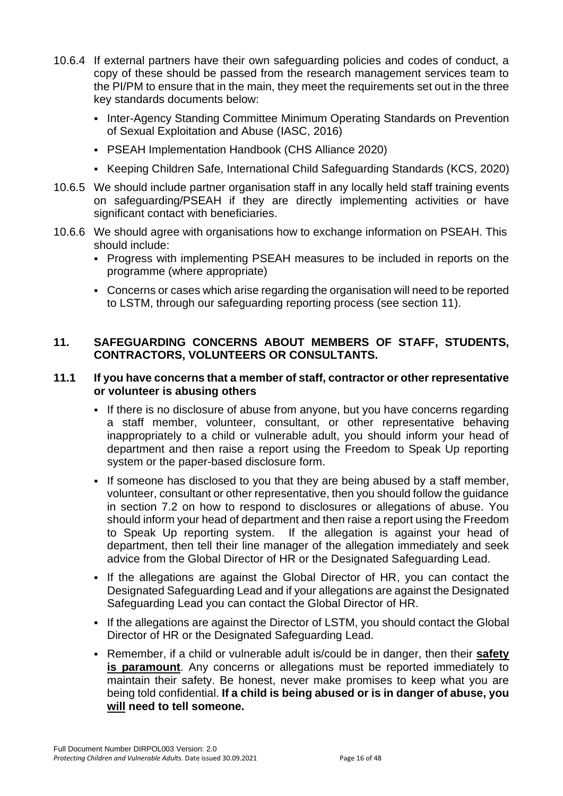- 10.6.4 If external partners have their own safeguarding policies and codes of conduct, a copy of these should be passed from the research management services team to the PI/PM to ensure that in the main, they meet the requirements set out in the three key standards documents below:
	- **Inter-Agency Standing Committee Minimum Operating Standards on Prevention** of Sexual Exploitation and Abuse (IASC, 2016)
	- **PSEAH Implementation Handbook (CHS Alliance 2020)**
	- Keeping Children Safe, International Child Safeguarding Standards (KCS, 2020)
- 10.6.5 We should include partner organisation staff in any locally held staff training events on safeguarding/PSEAH if they are directly implementing activities or have significant contact with beneficiaries.
- 10.6.6 We should agree with organisations how to exchange information on PSEAH. This should include:
	- **Progress with implementing PSEAH measures to be included in reports on the** programme (where appropriate)
	- Concerns or cases which arise regarding the organisation will need to be reported to LSTM, through our safeguarding reporting process (see section 11).

### **11. SAFEGUARDING CONCERNS ABOUT MEMBERS OF STAFF, STUDENTS, CONTRACTORS, VOLUNTEERS OR CONSULTANTS.**

#### **11.1 If you have concerns that a member of staff, contractor or other representative or volunteer is abusing others**

- **•** If there is no disclosure of abuse from anyone, but you have concerns regarding a staff member, volunteer, consultant, or other representative behaving inappropriately to a child or vulnerable adult, you should inform your head of department and then raise a report using the Freedom to Speak Up reporting system or the paper-based disclosure form.
- **.** If someone has disclosed to you that they are being abused by a staff member, volunteer, consultant or other representative, then you should follow the guidance in section 7.2 on how to respond to disclosures or allegations of abuse. You should inform your head of department and then raise a report using the Freedom to Speak Up reporting system. If the allegation is against your head of department, then tell their line manager of the allegation immediately and seek advice from the Global Director of HR or the Designated Safeguarding Lead.
- If the allegations are against the Global Director of HR, you can contact the Designated Safeguarding Lead and if your allegations are against the Designated Safeguarding Lead you can contact the Global Director of HR.
- **.** If the allegations are against the Director of LSTM, you should contact the Global Director of HR or the Designated Safeguarding Lead.
- Remember, if a child or vulnerable adult is/could be in danger, then their **safety is paramount**. Any concerns or allegations must be reported immediately to maintain their safety. Be honest, never make promises to keep what you are being told confidential. **If a child is being abused or is in danger of abuse, you will need to tell someone.**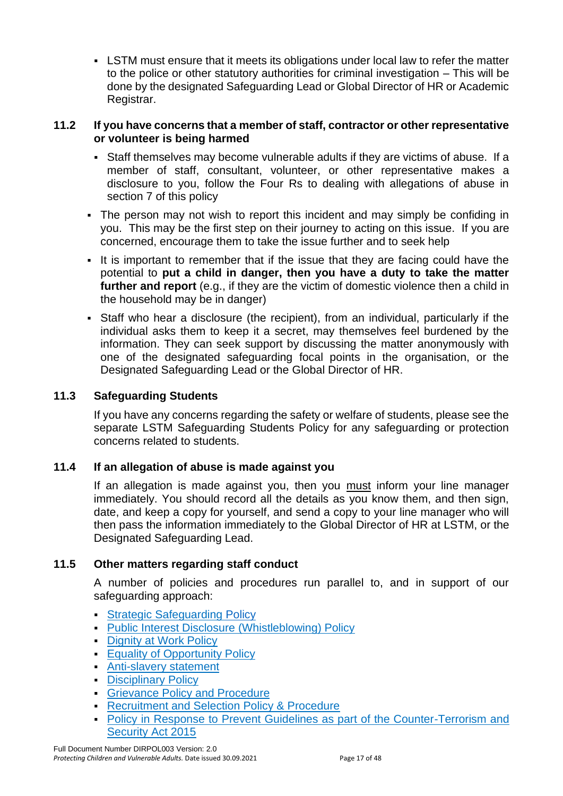**EXTM** must ensure that it meets its obligations under local law to refer the matter to the police or other statutory authorities for criminal investigation – This will be done by the designated Safeguarding Lead or Global Director of HR or Academic Registrar.

#### **11.2 If you have concerns that a member of staff, contractor or other representative or volunteer is being harmed**

- Staff themselves may become vulnerable adults if they are victims of abuse. If a member of staff, consultant, volunteer, or other representative makes a disclosure to you, follow the Four Rs to dealing with allegations of abuse in section 7 of this policy
- The person may not wish to report this incident and may simply be confiding in you. This may be the first step on their journey to acting on this issue. If you are concerned, encourage them to take the issue further and to seek help
- It is important to remember that if the issue that they are facing could have the potential to **put a child in danger, then you have a duty to take the matter further and report** (e.g., if they are the victim of domestic violence then a child in the household may be in danger)
- Staff who hear a disclosure (the recipient), from an individual, particularly if the individual asks them to keep it a secret, may themselves feel burdened by the information. They can seek support by discussing the matter anonymously with one of the designated safeguarding focal points in the organisation, or the Designated Safeguarding Lead or the Global Director of HR.

### **11.3 Safeguarding Students**

If you have any concerns regarding the safety or welfare of students, please see the separate LSTM Safeguarding Students Policy for any safeguarding or protection concerns related to students.

### **11.4 If an allegation of abuse is made against you**

If an allegation is made against you, then you must inform your line manager immediately. You should record all the details as you know them, and then sign, date, and keep a copy for yourself, and send a copy to your line manager who will then pass the information immediately to the Global Director of HR at LSTM, or the Designated Safeguarding Lead.

### **11.5 Other matters regarding staff conduct**

A number of policies and procedures run parallel to, and in support of our safeguarding approach:

- **[Strategic](https://lstmed.sharepoint.com/policies/PoliciesProcedures/Protecting%20Children%20and%20Vulnerable%20Adults%20Policy%20and%20Procedure.pdf) Safeguarding [Policy](https://www.lstmed.ac.uk/sites/default/files/LSTM%20Strategic%20Safeguarding%20Policy%20V3%2028.07.21.pdf)**
- [Public Interest Disclosure \(Whistleblowing\) Policy](https://lstmed.sharepoint.com/Departments/HR/Policies%20and%20Procedures/Whistleblowing.pdf)
- **Dignity at Work Policy**
- **[Equality of Opportunity Policy](https://lstmed.sharepoint.com/Departments/HR/Policies%20and%20Procedures/Equality%20and%20Diversity%20Policy.pdf)**
- **[Anti-slavery statement](https://www.lstmed.ac.uk/about/governance/lstm-group-modern-slavery-act-transparency-statement)**
- **[Disciplinary Policy](https://lstmed.sharepoint.com/policies/PoliciesProcedures/Disciplinary%20Policy.pdf)**
- **[Grievance Policy and Procedure](https://lstmed.sharepoint.com/policies/PoliciesProcedures/Grievance%20Policy%20and%20Procedure.pdf)**
- **[Recruitment and Selection Policy & Procedure](https://lstmed.sharepoint.com/policies/PoliciesProcedures/Recruitment%20and%20Selection%20Policy%20and%20Procedure.pdf)**
- Policy in Response to Prevent Guidelines as part of the Counter-Terrorism and [Security Act 2015](https://lstmed.sharepoint.com/policies/PoliciesProcedures/Response%20to%20PREVENT%20guidelines%20as%20part%20of%20the%20Counter%20Terrorism%20and%20Security%20Act%202015.pdf)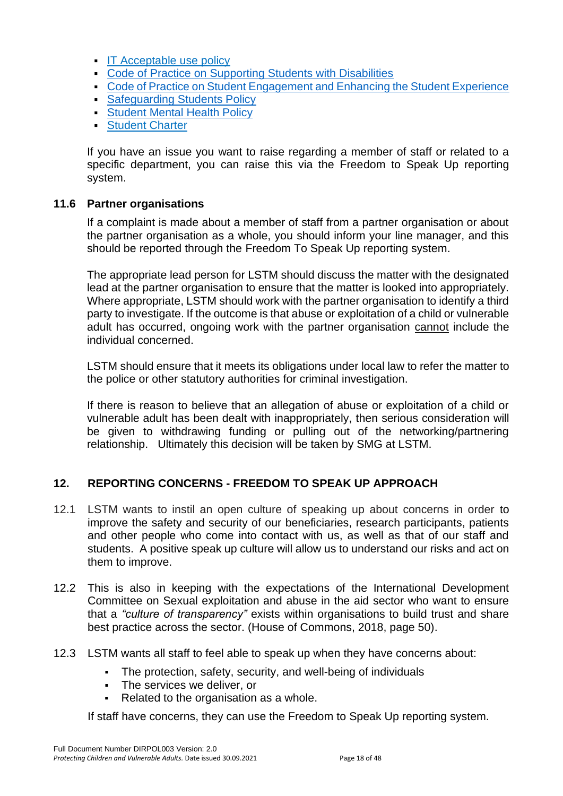- **[IT Acceptable use policy](https://lstmed.sharepoint.com/policies/PoliciesProcedures/IT%20Acceptable%20Use%20Policy.pdf)**
- [Code of Practice on Supporting Students with Disabilities](https://lstmed.sharepoint.com/Departments/Education/Documents/55LSTMCoPSupportingStudentsWithDisabilities.pdf)
- [Code of Practice on Student Engagement and Enhancing the Student Experience](https://lstmed.sharepoint.com/Departments/Education/Documents/58LSTMCoPStudentEngagementAndEnhancingStudentExperience.pdf)
- [Safeguarding Students Policy](https://lstmed.sharepoint.com/policies/PoliciesProcedures/Safeguarding%20Students%20Policy.pdf)
- **[Student Mental Health Policy](https://lstmed.sharepoint.com/policies/PoliciesProcedures/Student%20Mental%20Health%20Policy.pdf)**
- [Student Charter](https://www.lstmed.ac.uk/study/student-services/student-charter)

If you have an issue you want to raise regarding a member of staff or related to a specific department, you can raise this via the Freedom to Speak Up reporting system.

#### **11.6 Partner organisations**

If a complaint is made about a member of staff from a partner organisation or about the partner organisation as a whole, you should inform your line manager, and this should be reported through the Freedom To Speak Up reporting system.

The appropriate lead person for LSTM should discuss the matter with the designated lead at the partner organisation to ensure that the matter is looked into appropriately. Where appropriate, LSTM should work with the partner organisation to identify a third party to investigate. If the outcome is that abuse or exploitation of a child or vulnerable adult has occurred, ongoing work with the partner organisation cannot include the individual concerned.

LSTM should ensure that it meets its obligations under local law to refer the matter to the police or other statutory authorities for criminal investigation.

If there is reason to believe that an allegation of abuse or exploitation of a child or vulnerable adult has been dealt with inappropriately, then serious consideration will be given to withdrawing funding or pulling out of the networking/partnering relationship. Ultimately this decision will be taken by SMG at LSTM.

#### **12. REPORTING CONCERNS - FREEDOM TO SPEAK UP APPROACH**

- 12.1 LSTM wants to instil an open culture of speaking up about concerns in order to improve the safety and security of our beneficiaries, research participants, patients and other people who come into contact with us, as well as that of our staff and students. A positive speak up culture will allow us to understand our risks and act on them to improve.
- 12.2 This is also in keeping with the expectations of the International Development Committee on Sexual exploitation and abuse in the aid sector who want to ensure that a *"culture of transparency"* exists within organisations to build trust and share best practice across the sector. (House of Commons, 2018, page 50).
- 12.3 LSTM wants all staff to feel able to speak up when they have concerns about:
	- The protection, safety, security, and well-being of individuals
	- The services we deliver, or
	- Related to the organisation as a whole.

If staff have concerns, they can use the Freedom to Speak Up reporting system.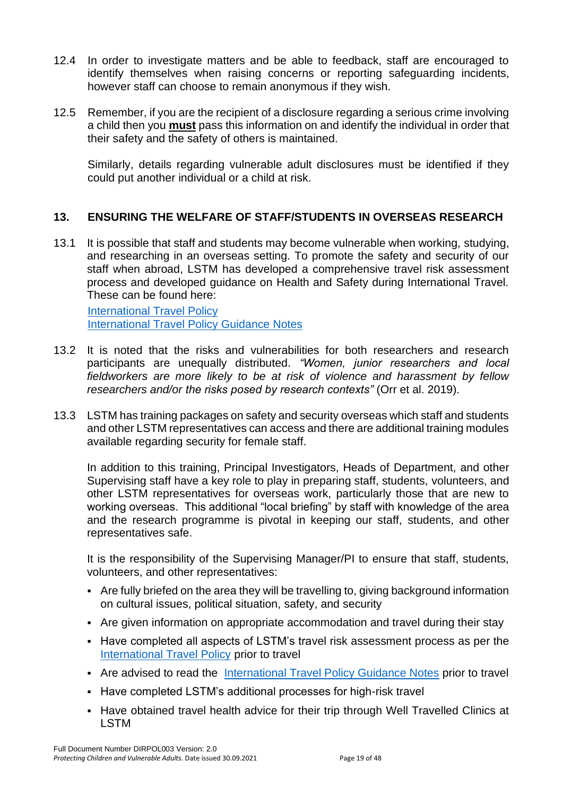- 12.4 In order to investigate matters and be able to feedback, staff are encouraged to identify themselves when raising concerns or reporting safeguarding incidents, however staff can choose to remain anonymous if they wish.
- 12.5 Remember, if you are the recipient of a disclosure regarding a serious crime involving a child then you **must** pass this information on and identify the individual in order that their safety and the safety of others is maintained.

Similarly, details regarding vulnerable adult disclosures must be identified if they could put another individual or a child at risk.

### **13. ENSURING THE WELFARE OF STAFF/STUDENTS IN OVERSEAS RESEARCH**

13.1 It is possible that staff and students may become vulnerable when working, studying, and researching in an overseas setting. To promote the safety and security of our staff when abroad, LSTM has developed a comprehensive travel risk assessment process and developed guidance on Health and Safety during International Travel. These can be found here:

[International Travel Policy](https://lstmed.sharepoint.com/policies/PoliciesProcedures/International%20Travel%20Policy.pdf) [International Travel Policy Guidance Notes](https://lstmed.sharepoint.com/policies/PoliciesProcedures/International%20Travel%20Policy%20Guidance%20Notes.pdf)

- 13.2 It is noted that the risks and vulnerabilities for both researchers and research participants are unequally distributed. *"Women, junior researchers and local fieldworkers are more likely to be at risk of violence and harassment by fellow researchers and/or the risks posed by research contexts"* (Orr et al. 2019).
- 13.3 LSTM has training packages on safety and security overseas which staff and students and other LSTM representatives can access and there are additional training modules available regarding security for female staff.

In addition to this training, Principal Investigators, Heads of Department, and other Supervising staff have a key role to play in preparing staff, students, volunteers, and other LSTM representatives for overseas work, particularly those that are new to working overseas. This additional "local briefing" by staff with knowledge of the area and the research programme is pivotal in keeping our staff, students, and other representatives safe.

It is the responsibility of the Supervising Manager/PI to ensure that staff, students, volunteers, and other representatives:

- Are fully briefed on the area they will be travelling to, giving background information on cultural issues, political situation, safety, and security
- Are given information on appropriate accommodation and travel during their stay
- Have completed all aspects of LSTM's travel risk assessment process as per the [International Travel Policy](https://lstmed.sharepoint.com/policies/PoliciesProcedures/International%20Travel%20Policy.pdf) prior to travel
- Are advised to read the [International Travel Policy Guidance Notes](https://lstmed.sharepoint.com/policies/PoliciesProcedures/International%20Travel%20Policy%20Guidance%20Notes.pdf) prior to travel
- Have completed LSTM's additional processes for high-risk travel
- Have obtained travel health advice for their trip through Well Travelled Clinics at LSTM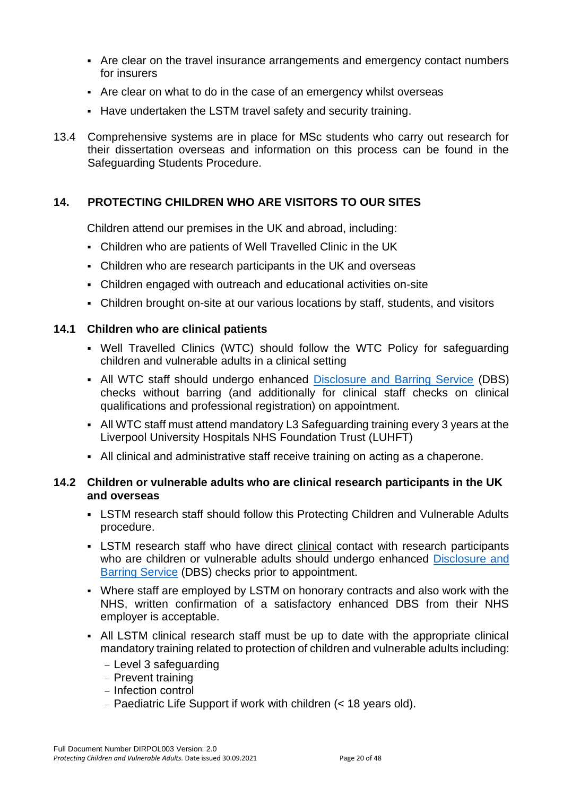- Are clear on the travel insurance arrangements and emergency contact numbers for insurers
- Are clear on what to do in the case of an emergency whilst overseas
- **EXTERGH** Have undertaken the LSTM travel safety and security training.
- 13.4 Comprehensive systems are in place for MSc students who carry out research for their dissertation overseas and information on this process can be found in the Safeguarding Students Procedure.

### **14. PROTECTING CHILDREN WHO ARE VISITORS TO OUR SITES**

Children attend our premises in the UK and abroad, including:

- Children who are patients of Well Travelled Clinic in the UK
- Children who are research participants in the UK and overseas
- Children engaged with outreach and educational activities on-site
- Children brought on-site at our various locations by staff, students, and visitors

#### **14.1 Children who are clinical patients**

- Well Travelled Clinics (WTC) should follow the WTC Policy for safeguarding children and vulnerable adults in a clinical setting
- **EXEL WREGET SHOULD ENDIRE 10 IS A SET UPPER SHOULD FIGURE 10 IS All WTC staff should undergo enhanced [Disclosure and Barring Service](https://www.gov.uk/dbs-check-applicant-criminal-record) (DBS)** checks without barring (and additionally for clinical staff checks on clinical qualifications and professional registration) on appointment.
- All WTC staff must attend mandatory L3 Safeguarding training every 3 years at the Liverpool University Hospitals NHS Foundation Trust (LUHFT)
- All clinical and administrative staff receive training on acting as a chaperone.

#### **14.2 Children or vulnerable adults who are clinical research participants in the UK and overseas**

- LSTM research staff should follow this Protecting Children and Vulnerable Adults procedure.
- **EXTM research staff who have direct clinical contact with research participants** who are children or vulnerable adults should undergo enhanced Disclosure and [Barring Service](https://www.gov.uk/dbs-check-applicant-criminal-record) (DBS) checks prior to appointment.
- Where staff are employed by LSTM on honorary contracts and also work with the NHS, written confirmation of a satisfactory enhanced DBS from their NHS employer is acceptable.
- All LSTM clinical research staff must be up to date with the appropriate clinical mandatory training related to protection of children and vulnerable adults including:
	- − Level 3 safeguarding
	- − Prevent training
	- − Infection control
	- − Paediatric Life Support if work with children (< 18 years old).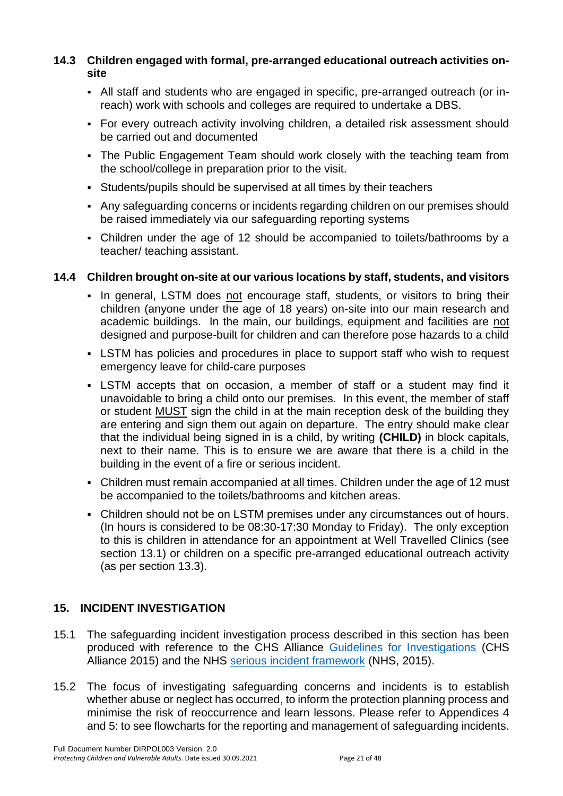### **14.3 Children engaged with formal, pre-arranged educational outreach activities onsite**

- All staff and students who are engaged in specific, pre-arranged outreach (or inreach) work with schools and colleges are required to undertake a DBS.
- For every outreach activity involving children, a detailed risk assessment should be carried out and documented
- The Public Engagement Team should work closely with the teaching team from the school/college in preparation prior to the visit.
- Students/pupils should be supervised at all times by their teachers
- Any safeguarding concerns or incidents regarding children on our premises should be raised immediately via our safeguarding reporting systems
- Children under the age of 12 should be accompanied to toilets/bathrooms by a teacher/ teaching assistant.

### **14.4 Children brought on-site at our various locations by staff, students, and visitors**

- **.** In general, LSTM does not encourage staff, students, or visitors to bring their children (anyone under the age of 18 years) on-site into our main research and academic buildings. In the main, our buildings, equipment and facilities are not designed and purpose-built for children and can therefore pose hazards to a child
- **EXTM** has policies and procedures in place to support staff who wish to request emergency leave for child-care purposes
- LSTM accepts that on occasion, a member of staff or a student may find it unavoidable to bring a child onto our premises. In this event, the member of staff or student MUST sign the child in at the main reception desk of the building they are entering and sign them out again on departure. The entry should make clear that the individual being signed in is a child, by writing **(CHILD)** in block capitals, next to their name. This is to ensure we are aware that there is a child in the building in the event of a fire or serious incident.
- Children must remain accompanied at all times. Children under the age of 12 must be accompanied to the toilets/bathrooms and kitchen areas.
- Children should not be on LSTM premises under any circumstances out of hours. (In hours is considered to be 08:30-17:30 Monday to Friday). The only exception to this is children in attendance for an appointment at Well Travelled Clinics (see section 13.1) or children on a specific pre-arranged educational outreach activity (as per section 13.3).

### **15. INCIDENT INVESTIGATION**

- 15.1 The safeguarding incident investigation process described in this section has been produced with reference to the CHS Alliance [Guidelines for Investigations](https://www.chsalliance.org/get-support/resource/guidelines-for-investigations/) (CHS Alliance 2015) and the NHS [serious incident framework](https://www.england.nhs.uk/patient-safety/serious-incident-framework/) (NHS, 2015).
- 15.2 The focus of investigating safeguarding concerns and incidents is to establish whether abuse or neglect has occurred, to inform the protection planning process and minimise the risk of reoccurrence and learn lessons. Please refer to Appendices 4 and 5: to see flowcharts for the reporting and management of safeguarding incidents.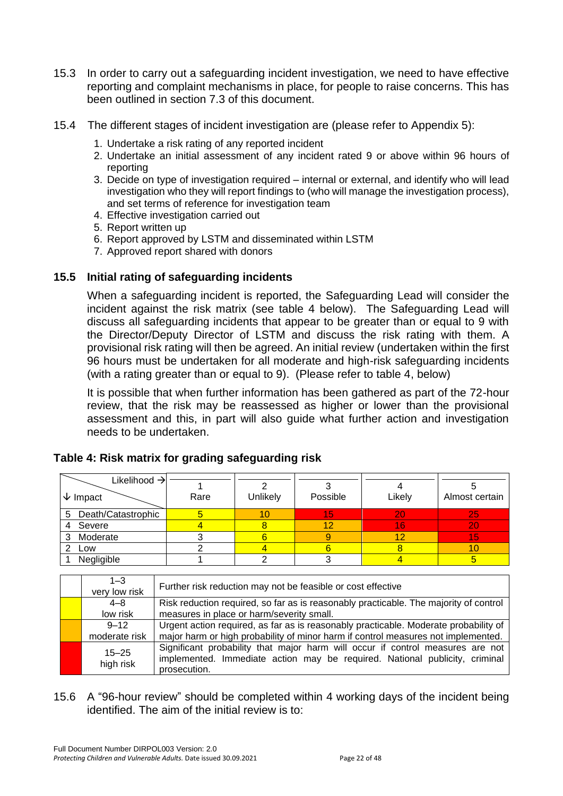- 15.3 In order to carry out a safeguarding incident investigation, we need to have effective reporting and complaint mechanisms in place, for people to raise concerns. This has been outlined in section 7.3 of this document.
- 15.4 The different stages of incident investigation are (please refer to Appendix 5):
	- 1. Undertake a risk rating of any reported incident
	- 2. Undertake an initial assessment of any incident rated 9 or above within 96 hours of reporting
	- 3. Decide on type of investigation required internal or external, and identify who will lead investigation who they will report findings to (who will manage the investigation process), and set terms of reference for investigation team
	- 4. Effective investigation carried out
	- 5. Report written up
	- 6. Report approved by LSTM and disseminated within LSTM
	- 7. Approved report shared with donors

#### **15.5 Initial rating of safeguarding incidents**

When a safeguarding incident is reported, the Safeguarding Lead will consider the incident against the risk matrix (see table 4 below). The Safeguarding Lead will discuss all safeguarding incidents that appear to be greater than or equal to 9 with the Director/Deputy Director of LSTM and discuss the risk rating with them. A provisional risk rating will then be agreed. An initial review (undertaken within the first 96 hours must be undertaken for all moderate and high-risk safeguarding incidents (with a rating greater than or equal to 9). (Please refer to table 4, below)

It is possible that when further information has been gathered as part of the 72-hour review, that the risk may be reassessed as higher or lower than the provisional assessment and this, in part will also guide what further action and investigation needs to be undertaken.

| Likelihood $\rightarrow$<br>$\downarrow$ Impact | Rare | Unlikely | Possible | Likely | Almost certain |
|-------------------------------------------------|------|----------|----------|--------|----------------|
| 5 Death/Catastrophic                            |      |          |          |        |                |
| Severe                                          |      |          |          |        |                |
| Moderate<br>3                                   |      |          |          |        |                |
| Low                                             |      |          |          |        |                |
| Negligible                                      |      |          |          |        |                |

#### **Table 4: Risk matrix for grading safeguarding risk**

| $1 - 3$<br>very low risk | Further risk reduction may not be feasible or cost effective                                                                                                                  |
|--------------------------|-------------------------------------------------------------------------------------------------------------------------------------------------------------------------------|
| 4–8                      | Risk reduction required, so far as is reasonably practicable. The majority of control                                                                                         |
| low risk                 | measures in place or harm/severity small.                                                                                                                                     |
| $9 - 12$                 | Urgent action required, as far as is reasonably practicable. Moderate probability of                                                                                          |
| moderate risk            | major harm or high probability of minor harm if control measures not implemented.                                                                                             |
| $15 - 25$<br>high risk   | Significant probability that major harm will occur if control measures are not<br>implemented. Immediate action may be required. National publicity, criminal<br>prosecution. |

15.6 A "96-hour review" should be completed within 4 working days of the incident being identified. The aim of the initial review is to: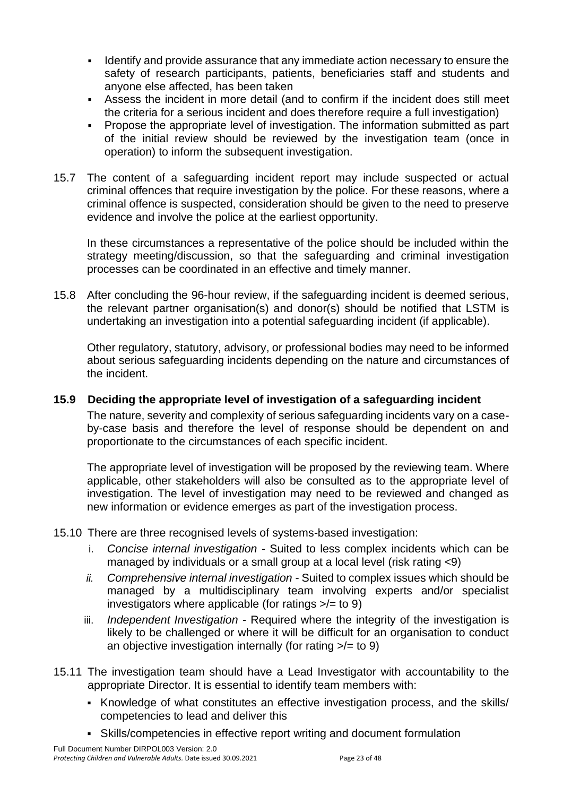- Identify and provide assurance that any immediate action necessary to ensure the safety of research participants, patients, beneficiaries staff and students and anyone else affected, has been taken
- Assess the incident in more detail (and to confirm if the incident does still meet the criteria for a serious incident and does therefore require a full investigation)
- Propose the appropriate level of investigation. The information submitted as part of the initial review should be reviewed by the investigation team (once in operation) to inform the subsequent investigation.
- 15.7 The content of a safeguarding incident report may include suspected or actual criminal offences that require investigation by the police. For these reasons, where a criminal offence is suspected, consideration should be given to the need to preserve evidence and involve the police at the earliest opportunity.

In these circumstances a representative of the police should be included within the strategy meeting/discussion, so that the safeguarding and criminal investigation processes can be coordinated in an effective and timely manner.

15.8 After concluding the 96-hour review, if the safeguarding incident is deemed serious, the relevant partner organisation(s) and donor(s) should be notified that LSTM is undertaking an investigation into a potential safeguarding incident (if applicable).

Other regulatory, statutory, advisory, or professional bodies may need to be informed about serious safeguarding incidents depending on the nature and circumstances of the incident.

#### **15.9 Deciding the appropriate level of investigation of a safeguarding incident**

The nature, severity and complexity of serious safeguarding incidents vary on a caseby-case basis and therefore the level of response should be dependent on and proportionate to the circumstances of each specific incident.

The appropriate level of investigation will be proposed by the reviewing team. Where applicable, other stakeholders will also be consulted as to the appropriate level of investigation. The level of investigation may need to be reviewed and changed as new information or evidence emerges as part of the investigation process.

- 15.10 There are three recognised levels of systems-based investigation:
	- i. *Concise internal investigation* Suited to less complex incidents which can be managed by individuals or a small group at a local level (risk rating <9)
	- *ii. Comprehensive internal investigation -* Suited to complex issues which should be managed by a multidisciplinary team involving experts and/or specialist investigators where applicable (for ratings  $\ge$ /= to 9)
	- iii. *Independent Investigation* Required where the integrity of the investigation is likely to be challenged or where it will be difficult for an organisation to conduct an objective investigation internally (for rating  $\ge$ /= to 9)
- 15.11 The investigation team should have a Lead Investigator with accountability to the appropriate Director. It is essential to identify team members with:
	- Knowledge of what constitutes an effective investigation process, and the skills/ competencies to lead and deliver this
	- Skills/competencies in effective report writing and document formulation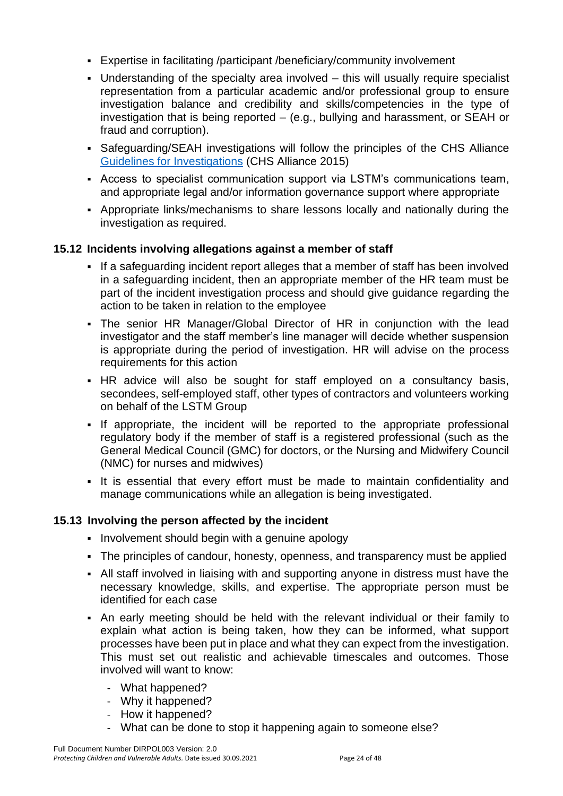- **Expertise in facilitating /participant /beneficiary/community involvement**
- **Understanding of the specialty area involved this will usually require specialist** representation from a particular academic and/or professional group to ensure investigation balance and credibility and skills/competencies in the type of investigation that is being reported – (e.g., bullying and harassment, or SEAH or fraud and corruption).
- Safeguarding/SEAH investigations will follow the principles of the CHS Alliance [Guidelines for Investigations](https://www.chsalliance.org/get-support/resource/guidelines-for-investigations/) (CHS Alliance 2015)
- Access to specialist communication support via LSTM's communications team, and appropriate legal and/or information governance support where appropriate
- Appropriate links/mechanisms to share lessons locally and nationally during the investigation as required.

### **15.12 Incidents involving allegations against a member of staff**

- **.** If a safeguarding incident report alleges that a member of staff has been involved in a safeguarding incident, then an appropriate member of the HR team must be part of the incident investigation process and should give guidance regarding the action to be taken in relation to the employee
- The senior HR Manager/Global Director of HR in conjunction with the lead investigator and the staff member's line manager will decide whether suspension is appropriate during the period of investigation. HR will advise on the process requirements for this action
- **EXECT ADDE FOR THE SOLUTE FOR SOLUTE I** HR advice will also be sought for staff employed on a consultancy basis, secondees, self-employed staff, other types of contractors and volunteers working on behalf of the LSTM Group
- If appropriate, the incident will be reported to the appropriate professional regulatory body if the member of staff is a registered professional (such as the General Medical Council (GMC) for doctors, or the Nursing and Midwifery Council (NMC) for nurses and midwives)
- It is essential that every effort must be made to maintain confidentiality and manage communications while an allegation is being investigated.

### **15.13 Involving the person affected by the incident**

- **Involvement should begin with a genuine apology**
- The principles of candour, honesty, openness, and transparency must be applied
- All staff involved in liaising with and supporting anyone in distress must have the necessary knowledge, skills, and expertise. The appropriate person must be identified for each case
- An early meeting should be held with the relevant individual or their family to explain what action is being taken, how they can be informed, what support processes have been put in place and what they can expect from the investigation. This must set out realistic and achievable timescales and outcomes. Those involved will want to know:
	- What happened?
	- Why it happened?
	- How it happened?
	- What can be done to stop it happening again to someone else?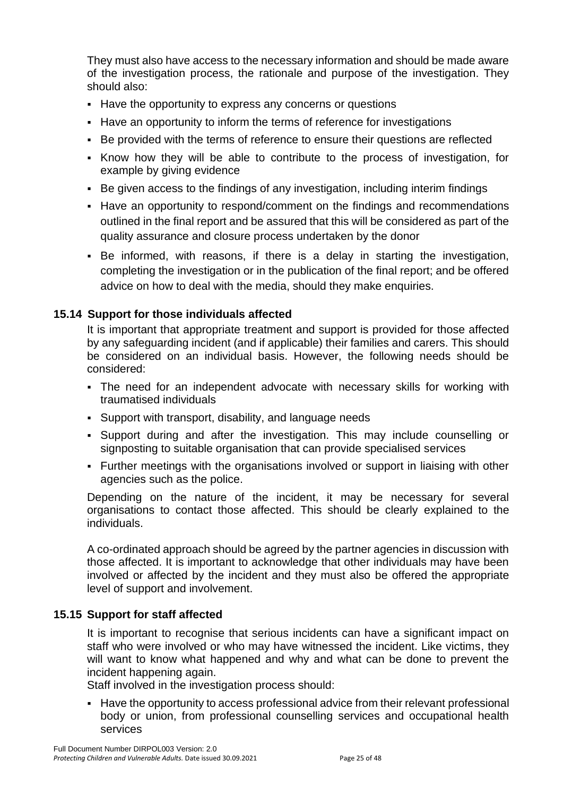They must also have access to the necessary information and should be made aware of the investigation process, the rationale and purpose of the investigation. They should also:

- Have the opportunity to express any concerns or questions
- Have an opportunity to inform the terms of reference for investigations
- Be provided with the terms of reference to ensure their questions are reflected
- Know how they will be able to contribute to the process of investigation, for example by giving evidence
- Be given access to the findings of any investigation, including interim findings
- **EXT** Have an opportunity to respond/comment on the findings and recommendations outlined in the final report and be assured that this will be considered as part of the quality assurance and closure process undertaken by the donor
- Be informed, with reasons, if there is a delay in starting the investigation, completing the investigation or in the publication of the final report; and be offered advice on how to deal with the media, should they make enquiries.

#### **15.14 Support for those individuals affected**

It is important that appropriate treatment and support is provided for those affected by any safeguarding incident (and if applicable) their families and carers. This should be considered on an individual basis. However, the following needs should be considered:

- The need for an independent advocate with necessary skills for working with traumatised individuals
- Support with transport, disability, and language needs
- Support during and after the investigation. This may include counselling or signposting to suitable organisation that can provide specialised services
- **E** Further meetings with the organisations involved or support in liaising with other agencies such as the police.

Depending on the nature of the incident, it may be necessary for several organisations to contact those affected. This should be clearly explained to the individuals.

A co-ordinated approach should be agreed by the partner agencies in discussion with those affected. It is important to acknowledge that other individuals may have been involved or affected by the incident and they must also be offered the appropriate level of support and involvement.

#### **15.15 Support for staff affected**

It is important to recognise that serious incidents can have a significant impact on staff who were involved or who may have witnessed the incident. Like victims, they will want to know what happened and why and what can be done to prevent the incident happening again.

Staff involved in the investigation process should:

▪ Have the opportunity to access professional advice from their relevant professional body or union, from professional counselling services and occupational health services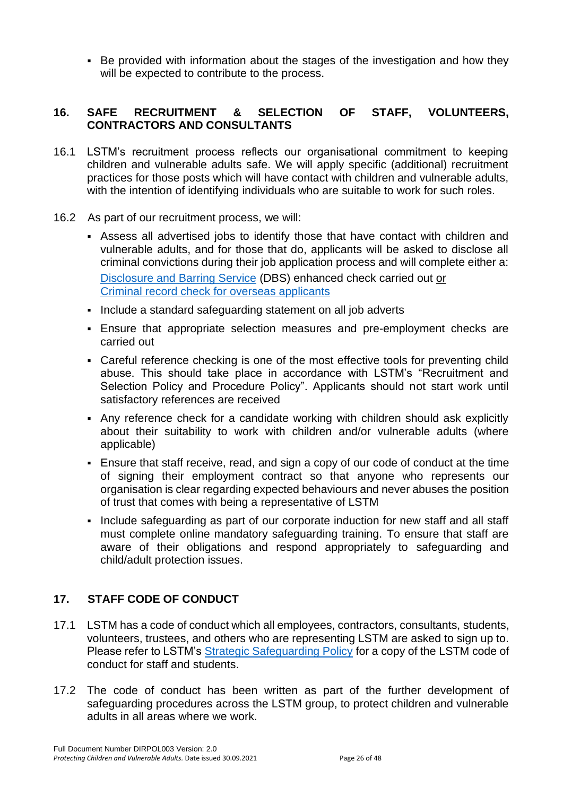▪ Be provided with information about the stages of the investigation and how they will be expected to contribute to the process.

### **16. SAFE RECRUITMENT & SELECTION OF STAFF, VOLUNTEERS, CONTRACTORS AND CONSULTANTS**

- 16.1 LSTM's recruitment process reflects our organisational commitment to keeping children and vulnerable adults safe. We will apply specific (additional) recruitment practices for those posts which will have contact with children and vulnerable adults, with the intention of identifying individuals who are suitable to work for such roles.
- 16.2 As part of our recruitment process, we will:
	- Assess all advertised jobs to identify those that have contact with children and vulnerable adults, and for those that do, applicants will be asked to disclose all criminal convictions during their job application process and will complete either a: [Disclosure and Barring Service](https://www.gov.uk/dbs-check-applicant-criminal-record) (DBS) enhanced check carried out or [Criminal record check for overseas applicants](https://www.gov.uk/government/publications/criminal-records-checks-for-overseas-applicants)
	- Include a standard safeguarding statement on all job adverts
	- Ensure that appropriate selection measures and pre-employment checks are carried out
	- Careful reference checking is one of the most effective tools for preventing child abuse. This should take place in accordance with LSTM's "Recruitment and Selection Policy and Procedure Policy". Applicants should not start work until satisfactory references are received
	- Any reference check for a candidate working with children should ask explicitly about their suitability to work with children and/or vulnerable adults (where applicable)
	- **Ensure that staff receive, read, and sign a copy of our code of conduct at the time** of signing their employment contract so that anyone who represents our organisation is clear regarding expected behaviours and never abuses the position of trust that comes with being a representative of LSTM
	- Include safeguarding as part of our corporate induction for new staff and all staff must complete online mandatory safeguarding training. To ensure that staff are aware of their obligations and respond appropriately to safeguarding and child/adult protection issues.

### **17. STAFF CODE OF CONDUCT**

- 17.1 LSTM has a code of conduct which all employees, contractors, consultants, students, volunteers, trustees, and others who are representing LSTM are asked to sign up to. Please refer to LSTM's [Strategic Safeguarding Policy](https://lstmed.sharepoint.com/policies/PoliciesProcedures/Safeguarding%20Policy.pdf) for a copy of the LSTM code of conduct for staff and students.
- 17.2 The code of conduct has been written as part of the further development of safeguarding procedures across the LSTM group, to protect children and vulnerable adults in all areas where we work.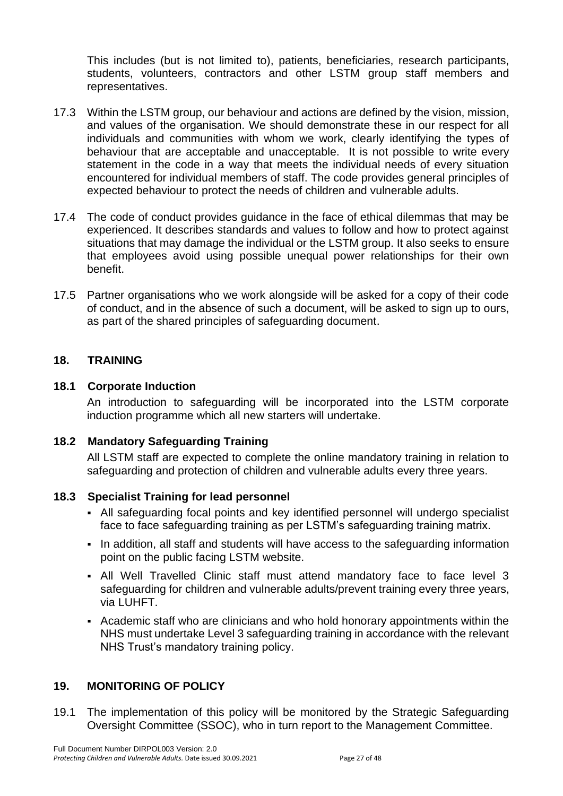This includes (but is not limited to), patients, beneficiaries, research participants, students, volunteers, contractors and other LSTM group staff members and representatives.

- 17.3 Within the LSTM group, our behaviour and actions are defined by the vision, mission, and values of the organisation. We should demonstrate these in our respect for all individuals and communities with whom we work, clearly identifying the types of behaviour that are acceptable and unacceptable. It is not possible to write every statement in the code in a way that meets the individual needs of every situation encountered for individual members of staff. The code provides general principles of expected behaviour to protect the needs of children and vulnerable adults.
- 17.4 The code of conduct provides guidance in the face of ethical dilemmas that may be experienced. It describes standards and values to follow and how to protect against situations that may damage the individual or the LSTM group. It also seeks to ensure that employees avoid using possible unequal power relationships for their own benefit.
- 17.5 Partner organisations who we work alongside will be asked for a copy of their code of conduct, and in the absence of such a document, will be asked to sign up to ours, as part of the shared principles of safeguarding document.

#### **18. TRAINING**

#### **18.1 Corporate Induction**

An introduction to safeguarding will be incorporated into the LSTM corporate induction programme which all new starters will undertake.

#### **18.2 Mandatory Safeguarding Training**

All LSTM staff are expected to complete the online mandatory training in relation to safeguarding and protection of children and vulnerable adults every three years.

#### **18.3 Specialist Training for lead personnel**

- All safeguarding focal points and key identified personnel will undergo specialist face to face safeguarding training as per LSTM's safeguarding training matrix.
- In addition, all staff and students will have access to the safeguarding information point on the public facing LSTM website.
- All Well Travelled Clinic staff must attend mandatory face to face level 3 safeguarding for children and vulnerable adults/prevent training every three years, via LUHFT.
- Academic staff who are clinicians and who hold honorary appointments within the NHS must undertake Level 3 safeguarding training in accordance with the relevant NHS Trust's mandatory training policy.

### **19. MONITORING OF POLICY**

19.1 The implementation of this policy will be monitored by the Strategic Safeguarding Oversight Committee (SSOC), who in turn report to the Management Committee.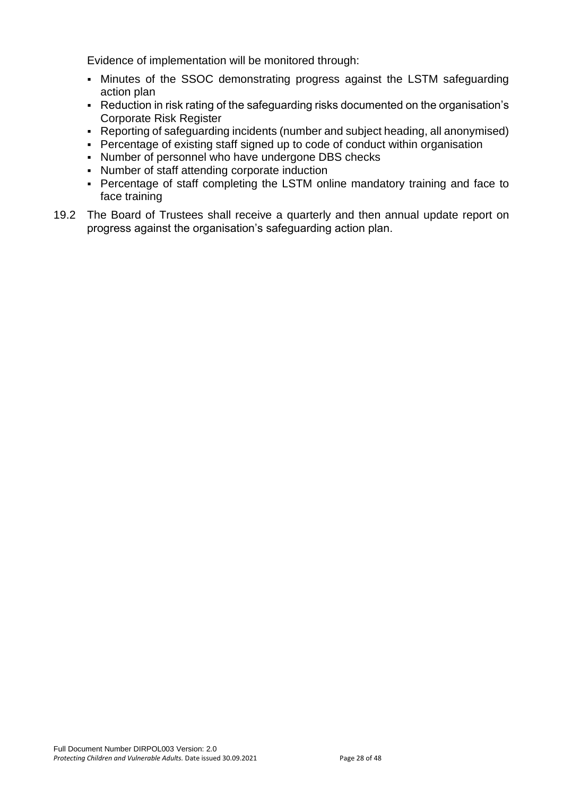Evidence of implementation will be monitored through:

- Minutes of the SSOC demonstrating progress against the LSTM safeguarding action plan
- Reduction in risk rating of the safeguarding risks documented on the organisation's Corporate Risk Register
- Reporting of safeguarding incidents (number and subject heading, all anonymised)
- Percentage of existing staff signed up to code of conduct within organisation
- Number of personnel who have undergone DBS checks
- Number of staff attending corporate induction
- Percentage of staff completing the LSTM online mandatory training and face to face training
- 19.2 The Board of Trustees shall receive a quarterly and then annual update report on progress against the organisation's safeguarding action plan.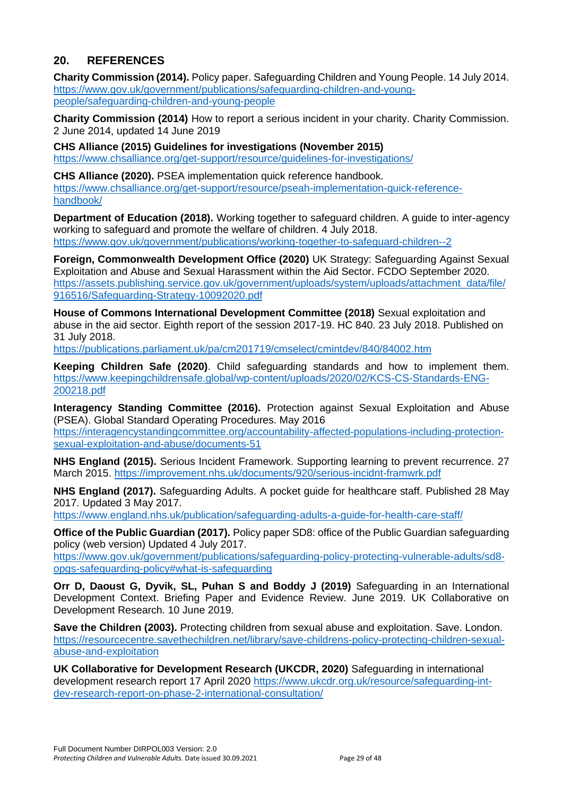### **20. REFERENCES**

**Charity Commission (2014).** Policy paper. Safeguarding Children and Young People. 14 July 2014. [https://www.gov.uk/government/publications/safeguarding-children-and-young](https://www.gov.uk/government/publications/safeguarding-children-and-young-people/safeguarding-children-and-young-people)[people/safeguarding-children-and-young-people](https://www.gov.uk/government/publications/safeguarding-children-and-young-people/safeguarding-children-and-young-people)

**Charity Commission (2014)** How to report a serious incident in your charity. Charity Commission. 2 June 2014, updated 14 June 2019

**CHS Alliance (2015) Guidelines for investigations (November 2015)** <https://www.chsalliance.org/get-support/resource/guidelines-for-investigations/>

**CHS Alliance (2020).** PSEA implementation quick reference handbook. [https://www.chsalliance.org/get-support/resource/pseah-implementation-quick-reference](https://www.chsalliance.org/get-support/resource/pseah-implementation-quick-reference-handbook/)[handbook/](https://www.chsalliance.org/get-support/resource/pseah-implementation-quick-reference-handbook/)

**Department of Education (2018).** Working together to safeguard children. A guide to inter-agency working to safeguard and promote the welfare of children. 4 July 2018. <https://www.gov.uk/government/publications/working-together-to-safeguard-children--2>

**Foreign, Commonwealth Development Office (2020)** UK Strategy: Safeguarding Against Sexual Exploitation and Abuse and Sexual Harassment within the Aid Sector. FCDO September 2020. [https://assets.publishing.service.gov.uk/government/uploads/system/uploads/attachment\\_data/file/](https://assets.publishing.service.gov.uk/government/uploads/system/uploads/attachment_data/file/916516/Safeguarding-Strategy-10092020.pdf) [916516/Safeguarding-Strategy-10092020.pdf](https://assets.publishing.service.gov.uk/government/uploads/system/uploads/attachment_data/file/916516/Safeguarding-Strategy-10092020.pdf)

**House of Commons International Development Committee (2018)** Sexual exploitation and abuse in the aid sector. Eighth report of the session 2017-19. HC 840. 23 July 2018. Published on 31 July 2018.

<https://publications.parliament.uk/pa/cm201719/cmselect/cmintdev/840/84002.htm>

**Keeping Children Safe (2020)**. Child safeguarding standards and how to implement them. [https://www.keepingchildrensafe.global/wp-content/uploads/2020/02/KCS-CS-Standards-ENG-](https://www.keepingchildrensafe.global/wp-content/uploads/2020/02/KCS-CS-Standards-ENG-200218.pdf)[200218.pdf](https://www.keepingchildrensafe.global/wp-content/uploads/2020/02/KCS-CS-Standards-ENG-200218.pdf)

**Interagency Standing Committee (2016).** Protection against Sexual Exploitation and Abuse (PSEA). Global Standard Operating Procedures. May 2016 [https://interagencystandingcommittee.org/accountability-affected-populations-including-protection](https://interagencystandingcommittee.org/accountability-affected-populations-including-protection-sexual-exploitation-and-abuse/documents-51)[sexual-exploitation-and-abuse/documents-51](https://interagencystandingcommittee.org/accountability-affected-populations-including-protection-sexual-exploitation-and-abuse/documents-51)

**NHS England (2015).** Serious Incident Framework. Supporting learning to prevent recurrence. 27 March 2015.<https://improvement.nhs.uk/documents/920/serious-incidnt-framwrk.pdf>

**NHS England (2017).** Safeguarding Adults. A pocket guide for healthcare staff. Published 28 May 2017. Updated 3 May 2017.

<https://www.england.nhs.uk/publication/safeguarding-adults-a-guide-for-health-care-staff/>

**Office of the Public Guardian (2017).** Policy paper SD8: office of the Public Guardian safeguarding policy (web version) Updated 4 July 2017.

[https://www.gov.uk/government/publications/safeguarding-policy-protecting-vulnerable-adults/sd8](https://www.gov.uk/government/publications/safeguarding-policy-protecting-vulnerable-adults/sd8-opgs-safeguarding-policy#what-is-safeguarding) [opgs-safeguarding-policy#what-is-safeguarding](https://www.gov.uk/government/publications/safeguarding-policy-protecting-vulnerable-adults/sd8-opgs-safeguarding-policy#what-is-safeguarding)

**Orr D, Daoust G, Dyvik, SL, Puhan S and Boddy J (2019)** Safeguarding in an International Development Context. Briefing Paper and Evidence Review. June 2019. UK Collaborative on Development Research. 10 June 2019.

**Save the Children (2003).** Protecting children from sexual abuse and exploitation. Save. London. [https://resourcecentre.savethechildren.net/library/save-childrens-policy-protecting-children-sexual](https://resourcecentre.savethechildren.net/library/save-childrens-policy-protecting-children-sexual-abuse-and-exploitation)[abuse-and-exploitation](https://resourcecentre.savethechildren.net/library/save-childrens-policy-protecting-children-sexual-abuse-and-exploitation)

**UK Collaborative for Development Research (UKCDR, 2020)** Safeguarding in international development research report 17 April 2020 [https://www.ukcdr.org.uk/resource/safeguarding-int](https://www.ukcdr.org.uk/resource/safeguarding-int-dev-research-report-on-phase-2-international-consultation/)[dev-research-report-on-phase-2-international-consultation/](https://www.ukcdr.org.uk/resource/safeguarding-int-dev-research-report-on-phase-2-international-consultation/)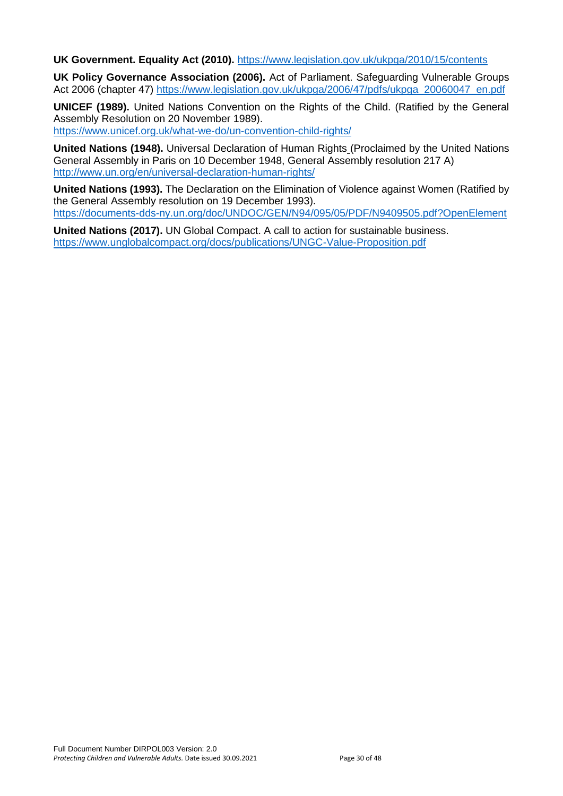**UK Government. Equality Act (2010).** <https://www.legislation.gov.uk/ukpga/2010/15/contents>

**UK Policy Governance Association (2006).** Act of Parliament. Safeguarding Vulnerable Groups Act 2006 (chapter 47) [https://www.legislation.gov.uk/ukpga/2006/47/pdfs/ukpga\\_20060047\\_en.pdf](https://www.legislation.gov.uk/ukpga/2006/47/pdfs/ukpga_20060047_en.pdf)

**UNICEF (1989).** United Nations Convention on the Rights of the Child. (Ratified by the General Assembly Resolution on 20 November 1989).

<https://www.unicef.org.uk/what-we-do/un-convention-child-rights/>

**United Nations (1948).** Universal Declaration of Human Rights (Proclaimed by the United Nations General Assembly in Paris on 10 December 1948, General Assembly resolution 217 A) <http://www.un.org/en/universal-declaration-human-rights/>

**United Nations (1993).** The Declaration on the Elimination of Violence against Women (Ratified by the General Assembly resolution on 19 December 1993). <https://documents-dds-ny.un.org/doc/UNDOC/GEN/N94/095/05/PDF/N9409505.pdf?OpenElement>

**United Nations (2017).** UN Global Compact. A call to action for sustainable business. <https://www.unglobalcompact.org/docs/publications/UNGC-Value-Proposition.pdf>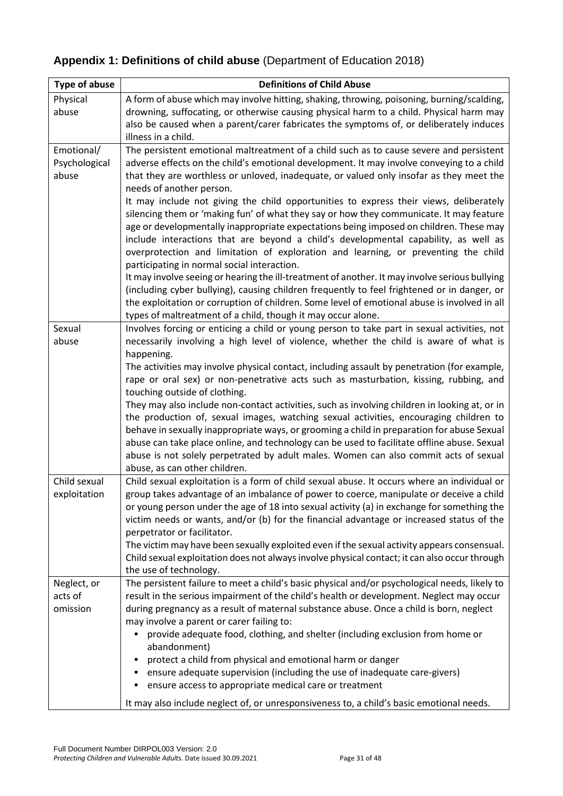| Appendix 1: Definitions of child abuse (Department of Education 2018) |  |
|-----------------------------------------------------------------------|--|
|-----------------------------------------------------------------------|--|

| <b>Type of abuse</b> | <b>Definitions of Child Abuse</b>                                                                                                                                                    |
|----------------------|--------------------------------------------------------------------------------------------------------------------------------------------------------------------------------------|
| Physical             | A form of abuse which may involve hitting, shaking, throwing, poisoning, burning/scalding,                                                                                           |
| abuse                | drowning, suffocating, or otherwise causing physical harm to a child. Physical harm may                                                                                              |
|                      | also be caused when a parent/carer fabricates the symptoms of, or deliberately induces                                                                                               |
|                      | illness in a child.                                                                                                                                                                  |
| Emotional/           | The persistent emotional maltreatment of a child such as to cause severe and persistent                                                                                              |
| Psychological        | adverse effects on the child's emotional development. It may involve conveying to a child<br>that they are worthless or unloved, inadequate, or valued only insofar as they meet the |
| abuse                | needs of another person.                                                                                                                                                             |
|                      | It may include not giving the child opportunities to express their views, deliberately                                                                                               |
|                      | silencing them or 'making fun' of what they say or how they communicate. It may feature                                                                                              |
|                      | age or developmentally inappropriate expectations being imposed on children. These may                                                                                               |
|                      | include interactions that are beyond a child's developmental capability, as well as                                                                                                  |
|                      | overprotection and limitation of exploration and learning, or preventing the child                                                                                                   |
|                      | participating in normal social interaction.                                                                                                                                          |
|                      | It may involve seeing or hearing the ill-treatment of another. It may involve serious bullying                                                                                       |
|                      | (including cyber bullying), causing children frequently to feel frightened or in danger, or                                                                                          |
|                      | the exploitation or corruption of children. Some level of emotional abuse is involved in all                                                                                         |
|                      | types of maltreatment of a child, though it may occur alone.                                                                                                                         |
| Sexual<br>abuse      | Involves forcing or enticing a child or young person to take part in sexual activities, not<br>necessarily involving a high level of violence, whether the child is aware of what is |
|                      | happening.                                                                                                                                                                           |
|                      | The activities may involve physical contact, including assault by penetration (for example,                                                                                          |
|                      | rape or oral sex) or non-penetrative acts such as masturbation, kissing, rubbing, and                                                                                                |
|                      | touching outside of clothing.                                                                                                                                                        |
|                      | They may also include non-contact activities, such as involving children in looking at, or in                                                                                        |
|                      | the production of, sexual images, watching sexual activities, encouraging children to                                                                                                |
|                      | behave in sexually inappropriate ways, or grooming a child in preparation for abuse Sexual                                                                                           |
|                      | abuse can take place online, and technology can be used to facilitate offline abuse. Sexual                                                                                          |
|                      | abuse is not solely perpetrated by adult males. Women can also commit acts of sexual                                                                                                 |
| Child sexual         | abuse, as can other children.<br>Child sexual exploitation is a form of child sexual abuse. It occurs where an individual or                                                         |
| exploitation         | group takes advantage of an imbalance of power to coerce, manipulate or deceive a child                                                                                              |
|                      | or young person under the age of 18 into sexual activity (a) in exchange for something the                                                                                           |
|                      | victim needs or wants, and/or (b) for the financial advantage or increased status of the                                                                                             |
|                      | perpetrator or facilitator.                                                                                                                                                          |
|                      | The victim may have been sexually exploited even if the sexual activity appears consensual.                                                                                          |
|                      | Child sexual exploitation does not always involve physical contact; it can also occur through                                                                                        |
|                      | the use of technology.                                                                                                                                                               |
| Neglect, or          | The persistent failure to meet a child's basic physical and/or psychological needs, likely to                                                                                        |
| acts of              | result in the serious impairment of the child's health or development. Neglect may occur                                                                                             |
| omission             | during pregnancy as a result of maternal substance abuse. Once a child is born, neglect                                                                                              |
|                      | may involve a parent or carer failing to:<br>provide adequate food, clothing, and shelter (including exclusion from home or<br>٠                                                     |
|                      | abandonment)                                                                                                                                                                         |
|                      | protect a child from physical and emotional harm or danger                                                                                                                           |
|                      | ensure adequate supervision (including the use of inadequate care-givers)                                                                                                            |
|                      | ensure access to appropriate medical care or treatment<br>٠                                                                                                                          |
|                      | It may also include neglect of, or unresponsiveness to, a child's basic emotional needs.                                                                                             |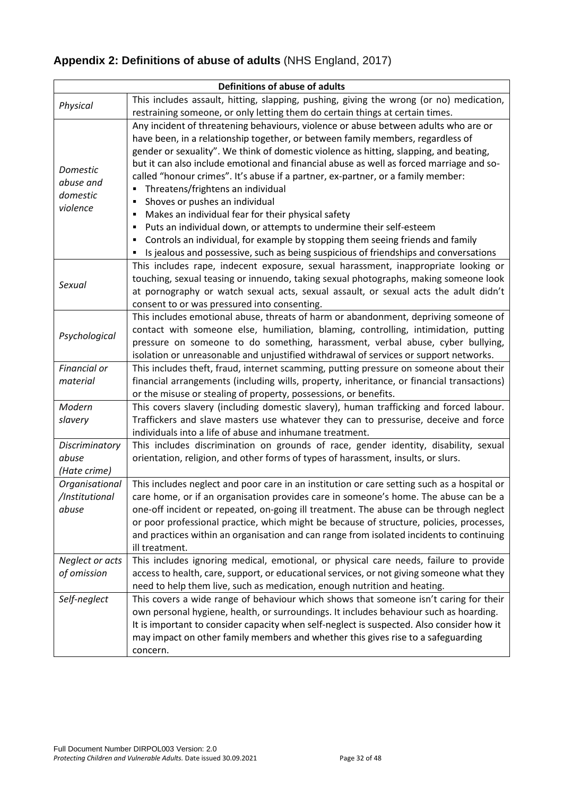# **Appendix 2: Definitions of abuse of adults** (NHS England, 2017)

| <b>Definitions of abuse of adults</b>         |                                                                                                                                                                                                                                                                                                                                                                                                                                                                                                                                                                                                                                                                                                                                                                                                                                                              |  |
|-----------------------------------------------|--------------------------------------------------------------------------------------------------------------------------------------------------------------------------------------------------------------------------------------------------------------------------------------------------------------------------------------------------------------------------------------------------------------------------------------------------------------------------------------------------------------------------------------------------------------------------------------------------------------------------------------------------------------------------------------------------------------------------------------------------------------------------------------------------------------------------------------------------------------|--|
| Physical                                      | This includes assault, hitting, slapping, pushing, giving the wrong (or no) medication,<br>restraining someone, or only letting them do certain things at certain times.                                                                                                                                                                                                                                                                                                                                                                                                                                                                                                                                                                                                                                                                                     |  |
| Domestic<br>abuse and<br>domestic<br>violence | Any incident of threatening behaviours, violence or abuse between adults who are or<br>have been, in a relationship together, or between family members, regardless of<br>gender or sexuality". We think of domestic violence as hitting, slapping, and beating,<br>but it can also include emotional and financial abuse as well as forced marriage and so-<br>called "honour crimes". It's abuse if a partner, ex-partner, or a family member:<br>Threatens/frightens an individual<br>٠<br>Shoves or pushes an individual<br>٠<br>Makes an individual fear for their physical safety<br>٠<br>Puts an individual down, or attempts to undermine their self-esteem<br>٠<br>Controls an individual, for example by stopping them seeing friends and family<br>٠<br>Is jealous and possessive, such as being suspicious of friendships and conversations<br>٠ |  |
| <b>Sexual</b>                                 | This includes rape, indecent exposure, sexual harassment, inappropriate looking or<br>touching, sexual teasing or innuendo, taking sexual photographs, making someone look<br>at pornography or watch sexual acts, sexual assault, or sexual acts the adult didn't<br>consent to or was pressured into consenting.                                                                                                                                                                                                                                                                                                                                                                                                                                                                                                                                           |  |
| Psychological                                 | This includes emotional abuse, threats of harm or abandonment, depriving someone of<br>contact with someone else, humiliation, blaming, controlling, intimidation, putting<br>pressure on someone to do something, harassment, verbal abuse, cyber bullying,<br>isolation or unreasonable and unjustified withdrawal of services or support networks.                                                                                                                                                                                                                                                                                                                                                                                                                                                                                                        |  |
| Financial or<br>material                      | This includes theft, fraud, internet scamming, putting pressure on someone about their<br>financial arrangements (including wills, property, inheritance, or financial transactions)<br>or the misuse or stealing of property, possessions, or benefits.                                                                                                                                                                                                                                                                                                                                                                                                                                                                                                                                                                                                     |  |
| Modern<br>slavery                             | This covers slavery (including domestic slavery), human trafficking and forced labour.<br>Traffickers and slave masters use whatever they can to pressurise, deceive and force<br>individuals into a life of abuse and inhumane treatment.                                                                                                                                                                                                                                                                                                                                                                                                                                                                                                                                                                                                                   |  |
| Discriminatory<br>abuse<br>(Hate crime)       | This includes discrimination on grounds of race, gender identity, disability, sexual<br>orientation, religion, and other forms of types of harassment, insults, or slurs.                                                                                                                                                                                                                                                                                                                                                                                                                                                                                                                                                                                                                                                                                    |  |
| Organisational<br>/Institutional<br>abuse     | This includes neglect and poor care in an institution or care setting such as a hospital or<br>care home, or if an organisation provides care in someone's home. The abuse can be a<br>one-off incident or repeated, on-going ill treatment. The abuse can be through neglect<br>or poor professional practice, which might be because of structure, policies, processes,<br>and practices within an organisation and can range from isolated incidents to continuing<br>ill treatment.                                                                                                                                                                                                                                                                                                                                                                      |  |
| Neglect or acts<br>of omission                | This includes ignoring medical, emotional, or physical care needs, failure to provide<br>access to health, care, support, or educational services, or not giving someone what they<br>need to help them live, such as medication, enough nutrition and heating.                                                                                                                                                                                                                                                                                                                                                                                                                                                                                                                                                                                              |  |
| Self-neglect                                  | This covers a wide range of behaviour which shows that someone isn't caring for their<br>own personal hygiene, health, or surroundings. It includes behaviour such as hoarding.<br>It is important to consider capacity when self-neglect is suspected. Also consider how it<br>may impact on other family members and whether this gives rise to a safeguarding<br>concern.                                                                                                                                                                                                                                                                                                                                                                                                                                                                                 |  |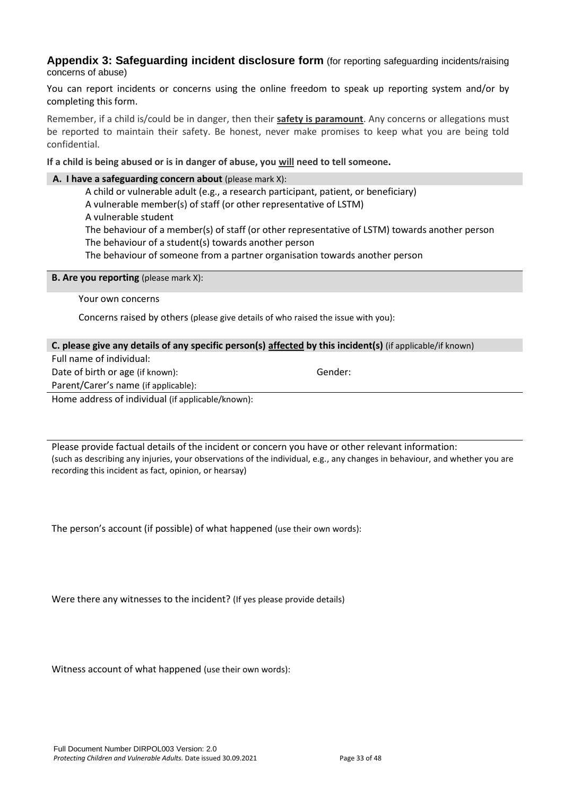#### **Appendix 3: Safeguarding incident disclosure form** (for reporting safeguarding incidents/raising concerns of abuse)

You can report incidents or concerns using the online freedom to speak up reporting system and/or by completing this form.

Remember, if a child is/could be in danger, then their **safety is paramount**. Any concerns or allegations must be reported to maintain their safety. Be honest, never make promises to keep what you are being told confidential.

**If a child is being abused or is in danger of abuse, you will need to tell someone.**

#### **A. I have a safeguarding concern about** (please mark X):

A child or vulnerable adult (e.g., a research participant, patient, or beneficiary) A vulnerable member(s) of staff (or other representative of LSTM) A vulnerable student The behaviour of a member(s) of staff (or other representative of LSTM) towards another person The behaviour of a student(s) towards another person The behaviour of someone from a partner organisation towards another person

**B. Are you reporting** (please mark X):

Your own concerns

Concerns raised by others (please give details of who raised the issue with you):

#### **C. please give any details of any specific person(s) affected by this incident(s)** (if applicable/if known)

Full name of individual: Date of birth or age (if known): Gender:

Parent/Carer's name (if applicable):

Home address of individual (if applicable/known):

Please provide factual details of the incident or concern you have or other relevant information: (such as describing any injuries, your observations of the individual, e.g., any changes in behaviour, and whether you are recording this incident as fact, opinion, or hearsay)

The person's account (if possible) of what happened (use their own words):

Were there any witnesses to the incident? (If yes please provide details)

Witness account of what happened (use their own words):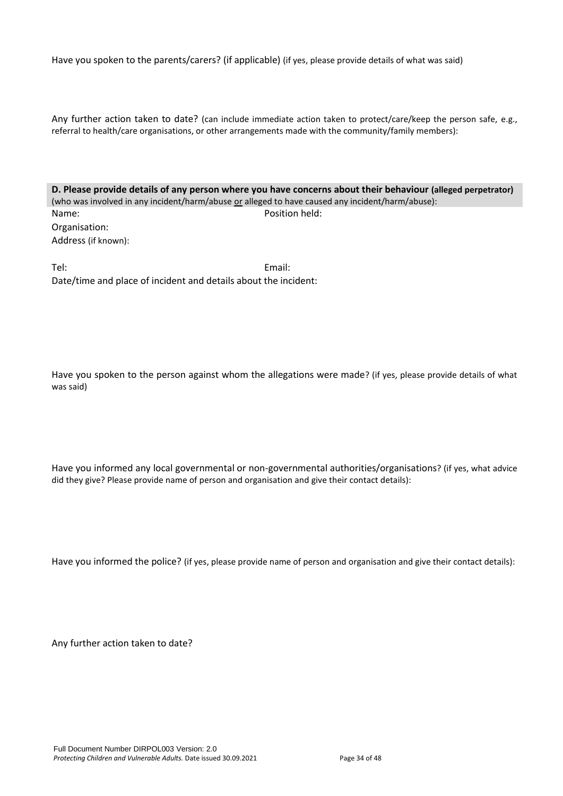Have you spoken to the parents/carers? (if applicable) (if yes, please provide details of what was said)

Any further action taken to date? (can include immediate action taken to protect/care/keep the person safe, e.g., referral to health/care organisations, or other arrangements made with the community/family members):

**D. Please provide details of any person where you have concerns about their behaviour (alleged perpetrator)** (who was involved in any incident/harm/abuse or alleged to have caused any incident/harm/abuse): Name: Name: Position held: Organisation: Address (if known):

Tel: Email: Date/time and place of incident and details about the incident:

Have you spoken to the person against whom the allegations were made? (if yes, please provide details of what was said)

Have you informed any local governmental or non-governmental authorities/organisations? (if yes, what advice did they give? Please provide name of person and organisation and give their contact details):

Have you informed the police? (if yes, please provide name of person and organisation and give their contact details):

Any further action taken to date?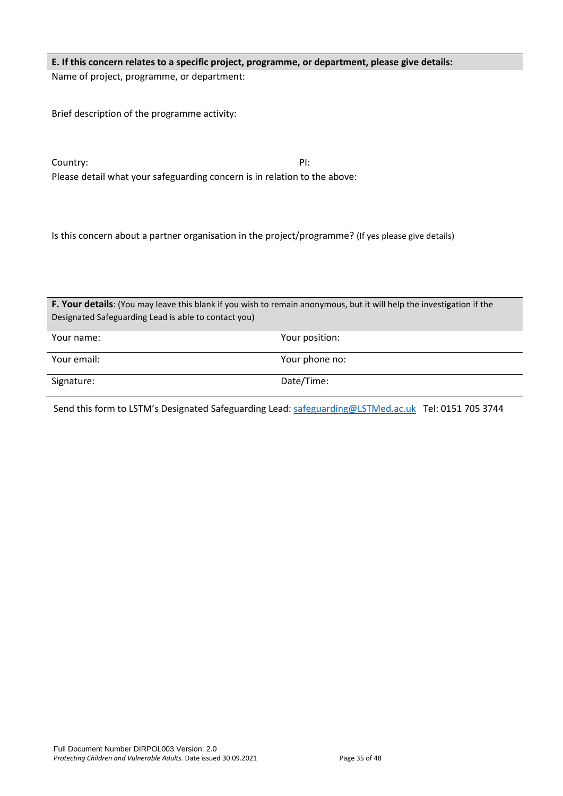**E. If this concern relates to a specific project, programme, or department, please give details:** Name of project, programme, or department:

Brief description of the programme activity:

| Country: | PI:                                                                       |
|----------|---------------------------------------------------------------------------|
|          | Please detail what your safeguarding concern is in relation to the above: |

Is this concern about a partner organisation in the project/programme? (If yes please give details)

| <b>F. Your details:</b> (You may leave this blank if you wish to remain anonymous, but it will help the investigation if the<br>Designated Safeguarding Lead is able to contact you) |                |  |  |
|--------------------------------------------------------------------------------------------------------------------------------------------------------------------------------------|----------------|--|--|
|                                                                                                                                                                                      |                |  |  |
| Your name:                                                                                                                                                                           | Your position: |  |  |
| Your email:                                                                                                                                                                          | Your phone no: |  |  |
| Signature:                                                                                                                                                                           | Date/Time:     |  |  |

Send this form to LSTM's Designated Safeguarding Lead[: safeguarding@LSTMed.ac.uk](mailto:safeguarding@LSTMed.ac.uk) Tel: 0151 705 3744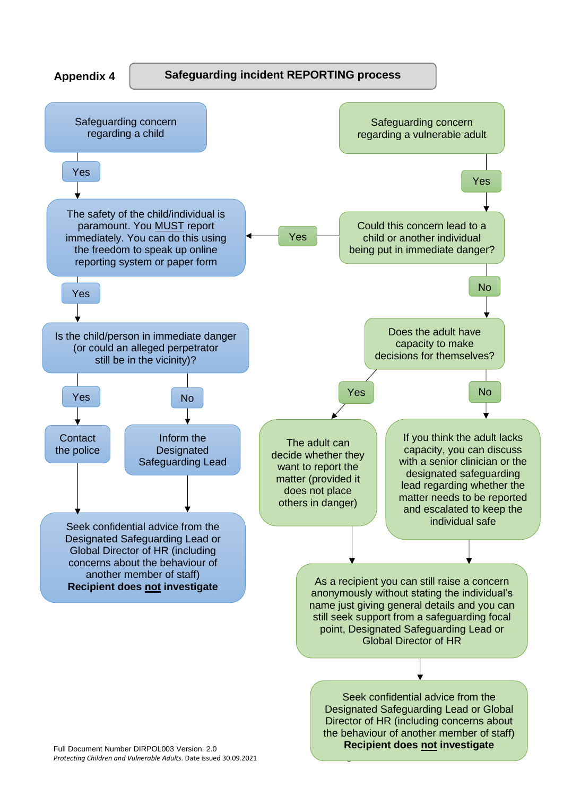

#### **Safeguarding incident REPORTING process**

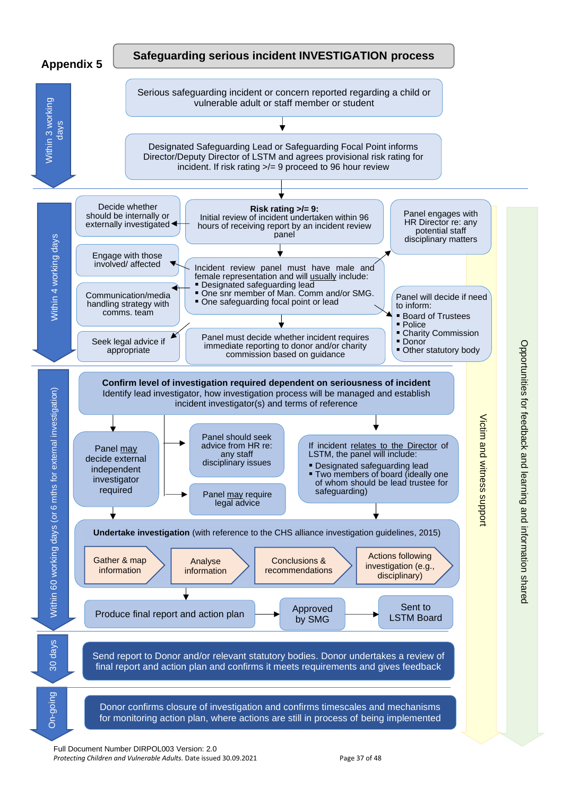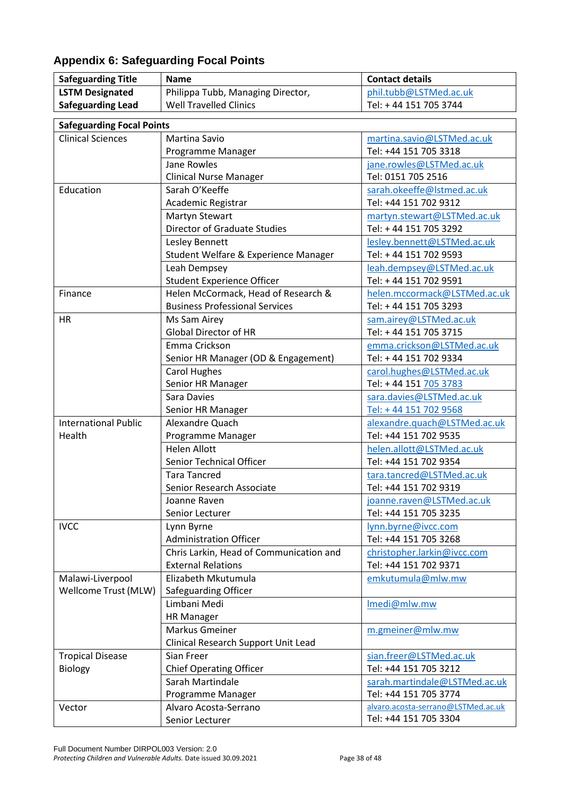# **Appendix 6: Safeguarding Focal Points**

| <b>Safeguarding Title</b> | <b>Name</b>                       | Contact details        |
|---------------------------|-----------------------------------|------------------------|
| LSTM Designated           | Philippa Tubb, Managing Director, | phil.tubb@LSTMed.ac.uk |
| <b>Safeguarding Lead</b>  | <b>Well Travelled Clinics</b>     | Tel: + 44 151 705 3744 |

| <b>Safeguarding Focal Points</b> |                                         |                                    |  |  |
|----------------------------------|-----------------------------------------|------------------------------------|--|--|
| <b>Clinical Sciences</b>         | Martina Savio                           | martina.savio@LSTMed.ac.uk         |  |  |
|                                  | Programme Manager                       | Tel: +44 151 705 3318              |  |  |
|                                  | Jane Rowles                             | jane.rowles@LSTMed.ac.uk           |  |  |
|                                  | <b>Clinical Nurse Manager</b>           | Tel: 0151 705 2516                 |  |  |
| Education                        | Sarah O'Keeffe                          | sarah.okeeffe@lstmed.ac.uk         |  |  |
|                                  | Academic Registrar                      | Tel: +44 151 702 9312              |  |  |
|                                  | Martyn Stewart                          | martyn.stewart@LSTMed.ac.uk        |  |  |
|                                  | Director of Graduate Studies            | Tel: +44 151 705 3292              |  |  |
|                                  | Lesley Bennett                          | lesley.bennett@LSTMed.ac.uk        |  |  |
|                                  | Student Welfare & Experience Manager    | Tel: +44 151 702 9593              |  |  |
|                                  | Leah Dempsey                            | leah.dempsey@LSTMed.ac.uk          |  |  |
|                                  | Student Experience Officer              | Tel: +44 151 702 9591              |  |  |
| Finance                          | Helen McCormack, Head of Research &     | helen.mccormack@LSTMed.ac.uk       |  |  |
|                                  | <b>Business Professional Services</b>   | Tel: +44 151 705 3293              |  |  |
| <b>HR</b>                        | Ms Sam Airey                            | sam.airey@LSTMed.ac.uk             |  |  |
|                                  | <b>Global Director of HR</b>            | Tel: +44 151 705 3715              |  |  |
|                                  | Emma Crickson                           | emma.crickson@LSTMed.ac.uk         |  |  |
|                                  | Senior HR Manager (OD & Engagement)     | Tel: +44 151 702 9334              |  |  |
|                                  | <b>Carol Hughes</b>                     | carol.hughes@LSTMed.ac.uk          |  |  |
|                                  | Senior HR Manager                       | Tel: +44 151 705 3783              |  |  |
|                                  | Sara Davies                             | sara.davies@LSTMed.ac.uk           |  |  |
|                                  | Senior HR Manager                       | Tel: +44 151 702 9568              |  |  |
| <b>International Public</b>      | Alexandre Quach                         | alexandre.quach@LSTMed.ac.uk       |  |  |
| Health                           | Programme Manager                       | Tel: +44 151 702 9535              |  |  |
|                                  | <b>Helen Allott</b>                     | helen.allott@LSTMed.ac.uk          |  |  |
|                                  | Senior Technical Officer                | Tel: +44 151 702 9354              |  |  |
|                                  | <b>Tara Tancred</b>                     | tara.tancred@LSTMed.ac.uk          |  |  |
|                                  | Senior Research Associate               | Tel: +44 151 702 9319              |  |  |
|                                  | Joanne Raven                            | joanne.raven@LSTMed.ac.uk          |  |  |
|                                  | Senior Lecturer                         | Tel: +44 151 705 3235              |  |  |
| <b>IVCC</b>                      | Lynn Byrne                              | lynn.byrne@ivcc.com                |  |  |
|                                  | <b>Administration Officer</b>           | Tel: +44 151 705 3268              |  |  |
|                                  | Chris Larkin, Head of Communication and | christopher.larkin@ivcc.com        |  |  |
|                                  | <b>External Relations</b>               | Tel: +44 151 702 9371              |  |  |
| Malawi-Liverpool                 | Elizabeth Mkutumula                     | emkutumula@mlw.mw                  |  |  |
| Wellcome Trust (MLW)             | Safeguarding Officer                    |                                    |  |  |
|                                  | Limbani Medi                            | Imedi@mlw.mw                       |  |  |
|                                  | <b>HR Manager</b>                       |                                    |  |  |
|                                  | Markus Gmeiner                          | m.gmeiner@mlw.mw                   |  |  |
|                                  | Clinical Research Support Unit Lead     |                                    |  |  |
| <b>Tropical Disease</b>          | Sian Freer                              | sian.freer@LSTMed.ac.uk            |  |  |
| Biology                          | <b>Chief Operating Officer</b>          | Tel: +44 151 705 3212              |  |  |
|                                  | Sarah Martindale                        | sarah.martindale@LSTMed.ac.uk      |  |  |
|                                  | Programme Manager                       | Tel: +44 151 705 3774              |  |  |
| Vector                           | Alvaro Acosta-Serrano                   | alvaro.acosta-serrano@LSTMed.ac.uk |  |  |
|                                  | Senior Lecturer                         | Tel: +44 151 705 3304              |  |  |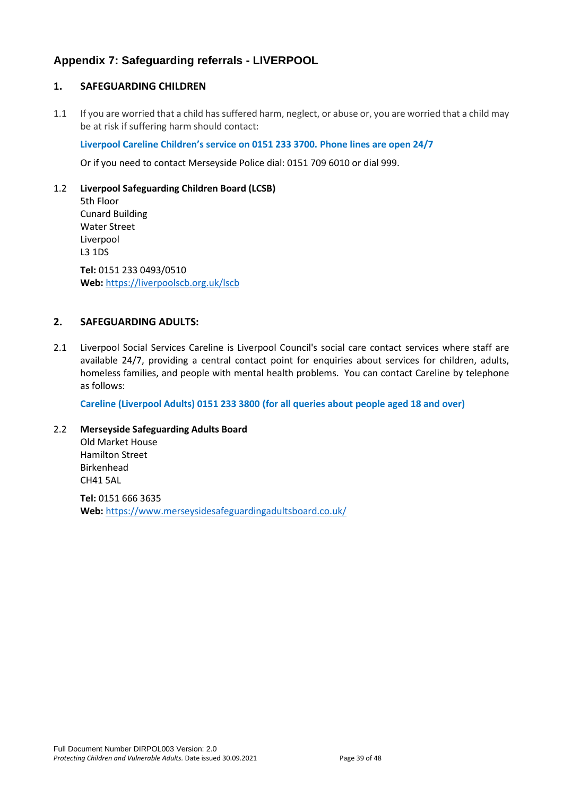### **Appendix 7: Safeguarding referrals - LIVERPOOL**

#### **1. SAFEGUARDING CHILDREN**

1.1 If you are worried that a child has suffered harm, neglect, or abuse or, you are worried that a child may be at risk if suffering harm should contact:

**Liverpool Careline Children's service on 0151 233 3700. Phone lines are open 24/7**

Or if you need to contact Merseyside Police dial: 0151 709 6010 or dial 999.

#### 1.2 **Liverpool Safeguarding Children Board (LCSB)**

5th Floor Cunard Building Water Street Liverpool L3 1DS

**Tel:** 0151 233 0493/0510 **Web:** <https://liverpoolscb.org.uk/lscb>

#### **2. SAFEGUARDING ADULTS:**

2.1 Liverpool Social Services Careline is Liverpool Council's social care contact services where staff are available 24/7, providing a central contact point for enquiries about services for children, adults, homeless families, and people with mental health problems. You can contact Careline by telephone as follows:

**Careline (Liverpool Adults) 0151 233 3800 (for all queries about people aged 18 and over)**

#### 2.2 **Merseyside Safeguarding Adults Board**

Old Market House Hamilton Street Birkenhead CH41 5AL

**Tel:** 0151 666 3635 **Web:** <https://www.merseysidesafeguardingadultsboard.co.uk/>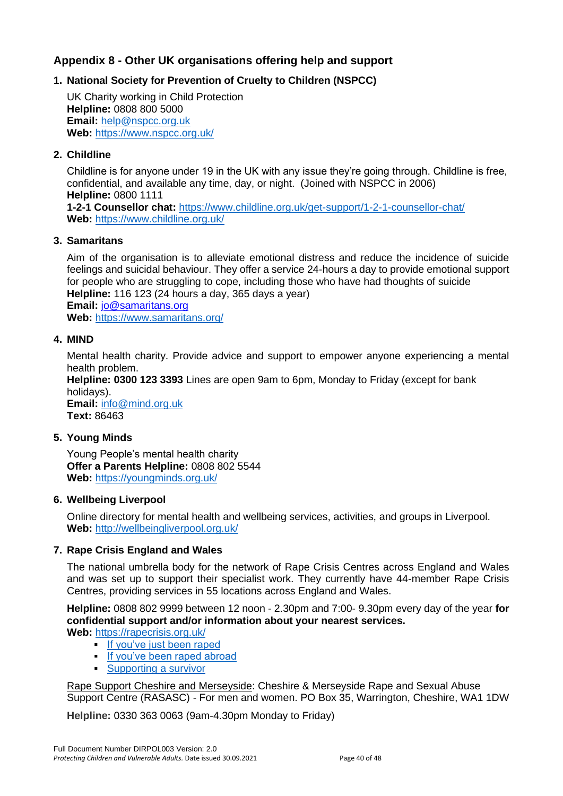### **Appendix 8 - Other UK organisations offering help and support**

#### **1. National Society for Prevention of Cruelty to Children (NSPCC)**

UK Charity working in Child Protection **Helpline:** 0808 800 5000 **Email:** [help@nspcc.org.uk](mailto:help@nspcc.org.uk) **Web:** <https://www.nspcc.org.uk/>

#### **2. Childline**

Childline is for anyone under 19 in the UK with any issue they're going through. Childline is free, confidential, and available any time, day, or night. (Joined with NSPCC in 2006) **Helpline:** 0800 1111

**1-2-1 Counsellor chat:** <https://www.childline.org.uk/get-support/1-2-1-counsellor-chat/> **Web:** <https://www.childline.org.uk/>

#### **3. Samaritans**

Aim of the organisation is to alleviate emotional distress and reduce the incidence of suicide feelings and suicidal behaviour. They offer a service 24-hours a day to provide emotional support for people who are struggling to cope, including those who have had thoughts of suicide **Helpline:** 116 123 (24 hours a day, 365 days a year) **Email:** [jo@samaritans.org](mailto:jo@samaritans.org) **Web:** <https://www.samaritans.org/>

#### **4. MIND**

Mental health charity. Provide advice and support to empower anyone experiencing a mental health problem.

**Helpline: 0300 123 3393** Lines are open 9am to 6pm, Monday to Friday (except for bank holidays).

**Email:** [info@mind.org.uk](mailto:info@mind.org.uk) **Text:** 86463

#### **5. Young Minds**

Young People's mental health charity **Offer a Parents Helpline:** 0808 802 5544 **Web:** <https://youngminds.org.uk/>

#### **6. Wellbeing Liverpool**

Online directory for mental health and wellbeing services, activities, and groups in Liverpool. **Web:** <http://wellbeingliverpool.org.uk/>

#### **7. Rape Crisis England and Wales**

The national umbrella body for the network of Rape Crisis Centres across England and Wales and was set up to support their specialist work. They currently have 44-member Rape Crisis Centres, providing services in 55 locations across England and Wales.

**Helpline:** 0808 802 9999 between 12 noon - 2.30pm and 7:00- 9.30pm every day of the year **for confidential support and/or information about your nearest services.**

**Web:** <https://rapecrisis.org.uk/>

- **EXECUTE:** [If you've just been raped](https://rapecrisis.org.uk/ifyouvejustbeenraped.php)
- **[If you've been raped abroad](https://rapecrisis.org.uk/ifyouvebeenrapedabroad.php)**
- [Supporting a survivor](https://rapecrisis.org.uk/supportingasurvivor.php)

Rape Support Cheshire and Merseyside: Cheshire & Merseyside Rape and Sexual Abuse Support Centre (RASASC) - For men and women. PO Box 35, Warrington, Cheshire, WA1 1DW

**Helpline:** 0330 363 0063 (9am-4.30pm Monday to Friday)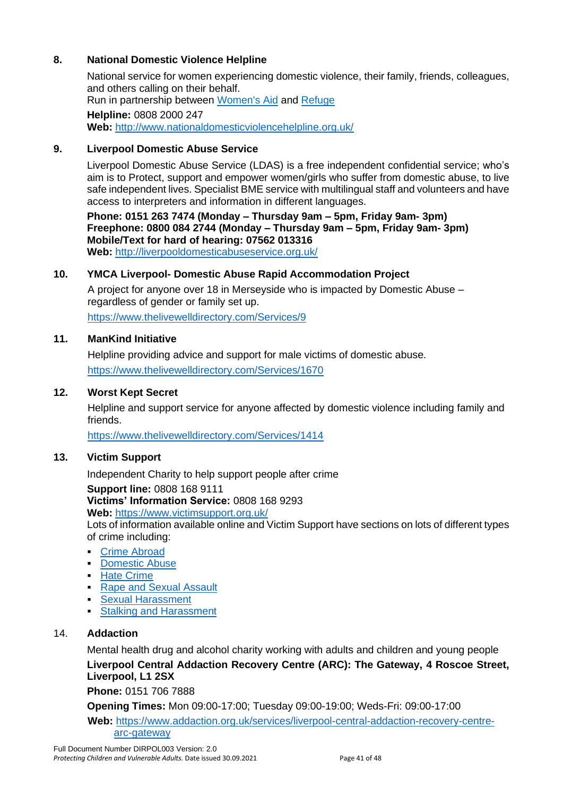#### **8. National Domestic Violence Helpline**

National service for women experiencing domestic violence, their family, friends, colleagues, and others calling on their behalf. Run in partnership between [Women's](http://www.womensaid.org.uk/) Aid and [Refuge](http://www.refuge.org.uk/) **Helpline:** 0808 2000 247 **Web:** <http://www.nationaldomesticviolencehelpline.org.uk/>

#### **9. Liverpool Domestic Abuse Service**

Liverpool Domestic Abuse Service (LDAS) is a free independent confidential service; who's aim is to Protect, support and empower women/girls who suffer from domestic abuse, to live safe independent lives. Specialist BME service with multilingual staff and volunteers and have access to interpreters and information in different languages.

**Phone: 0151 263 7474 (Monday – Thursday 9am – 5pm, Friday 9am- 3pm) Freephone: 0800 084 2744 (Monday – Thursday 9am – 5pm, Friday 9am- 3pm) Mobile/Text for hard of hearing: 07562 013316 Web:** <http://liverpooldomesticabuseservice.org.uk/>

#### **10. YMCA Liverpool- Domestic Abuse Rapid Accommodation Project**

A project for anyone over 18 in Merseyside who is impacted by Domestic Abuse – regardless of gender or family set up.

<https://www.thelivewelldirectory.com/Services/9>

#### **11. ManKind Initiative**

Helpline providing advice and support for male victims of domestic abuse. <https://www.thelivewelldirectory.com/Services/1670>

#### **12. Worst Kept Secret**

Helpline and support service for anyone affected by domestic violence including family and friends.

<https://www.thelivewelldirectory.com/Services/1414>

#### **13. Victim Support**

Independent Charity to help support people after crime

**Support line:** 0808 168 9111

**Victims' Information Service:** 0808 168 9293

**Web:** <https://www.victimsupport.org.uk/>

Lots of information available online and Victim Support have sections on lots of different types of crime including:

- [Crime Abroad](https://www.victimsupport.org.uk/crime-info/types-crime/crime-abroad)
- [Domestic Abuse](https://www.victimsupport.org.uk/crime-info/types-crime/domestic-abuse)
- [Hate Crime](https://www.victimsupport.org.uk/crime-info/types-crime/hate-crime)
- **[Rape and Sexual Assault](https://www.victimsupport.org.uk/crime-info/types-crime/rape-and-sexual-assault)**
- **[Sexual Harassment](https://www.victimsupport.org.uk/crime-info/types-crime/sexual-harassment)**
- **[Stalking and Harassment](https://www.victimsupport.org.uk/crime-info/types-crime/stalking-and-harassment)**

#### 14. **Addaction**

Mental health drug and alcohol charity working with adults and children and young people **Liverpool Central Addaction Recovery Centre (ARC): The Gateway, 4 Roscoe Street, Liverpool, L1 2SX**

**Phone:** 0151 706 7888

**Opening Times:** Mon 09:00-17:00; Tuesday 09:00-19:00; Weds-Fri: 09:00-17:00

**Web:** [https://www.addaction.org.uk/services/liverpool-central-addaction-recovery-centre](https://www.addaction.org.uk/services/liverpool-central-addaction-recovery-centre-arc-gateway)[arc-gateway](https://www.addaction.org.uk/services/liverpool-central-addaction-recovery-centre-arc-gateway)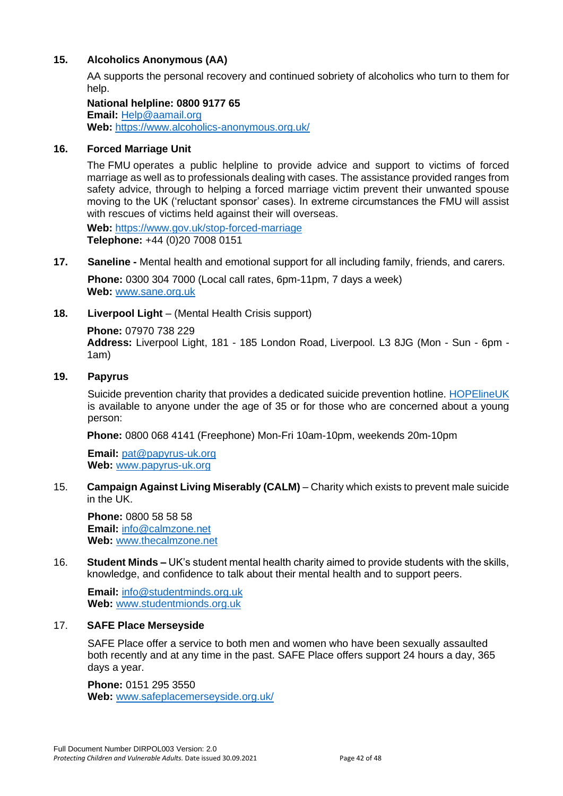#### **15. Alcoholics Anonymous (AA)**

AA supports the personal recovery and continued sobriety of alcoholics who turn to them for help.

**National helpline: 0800 9177 65 Email:** [Help@aamail.org](mailto:Help@aamail.org) **Web:** <https://www.alcoholics-anonymous.org.uk/>

#### **16. Forced Marriage Unit**

The FMU operates a public helpline to provide advice and support to victims of forced marriage as well as to professionals dealing with cases. The assistance provided ranges from safety advice, through to helping a forced marriage victim prevent their unwanted spouse moving to the UK ('reluctant sponsor' cases). In extreme circumstances the FMU will assist with rescues of victims held against their will overseas.

**Web:** <https://www.gov.uk/stop-forced-marriage> **Telephone:** +44 (0)20 7008 0151

**17. Saneline -** Mental health and emotional support for all including family, friends, and carers.

**Phone:** 0300 304 7000 (Local call rates, 6pm-11pm, 7 days a week) **Web:** [www.sane.org.uk](http://www.sane.org.uk/)

**18. Liverpool Light** – (Mental Health Crisis support)

**Phone:** 07970 738 229 **Address:** Liverpool Light, 181 - 185 London Road, Liverpool. L3 8JG (Mon - Sun - 6pm - 1am)

#### **19. Papyrus**

Suicide prevention charity that provides a dedicated suicide prevention hotline. [HOPElineUK](https://papyrus-uk.org/hopelineuk/) is available to anyone under the age of 35 or for those who are concerned about a young person:

**Phone:** 0800 068 4141 (Freephone) Mon-Fri 10am-10pm, weekends 20m-10pm

**Email:** [pat@papyrus-uk.org](mailto:pat@papyrus-uk.org) **Web:** [www.papyrus-uk.org](http://www.papyrus-uk.org/)

15. **Campaign Against Living Miserably (CALM)** – Charity which exists to prevent male suicide in the UK.

**Phone:** 0800 58 58 58 **Email:** [info@calmzone.net](mailto:info@calmzone.net) **Web:** [www.thecalmzone.net](http://www.thecalmzone.net/)

16. **Student Minds –** UK's student mental health charity aimed to provide students with the skills, knowledge, and confidence to talk about their mental health and to support peers.

**Email:** [info@studentminds.org.uk](mailto:info@studentminds.org.uk) **Web:** [www.studentmionds.org.uk](http://www.studentmionds.org.uk/)

#### 17. **SAFE Place Merseyside**

SAFE Place offer a service to both men and women who have been sexually assaulted both recently and at any time in the past. SAFE Place offers support 24 hours a day, 365 days a year.

**Phone:** 0151 295 3550 **Web:** [www.safeplacemerseyside.org.uk/](http://www.safeplacemerseyside.org.uk/)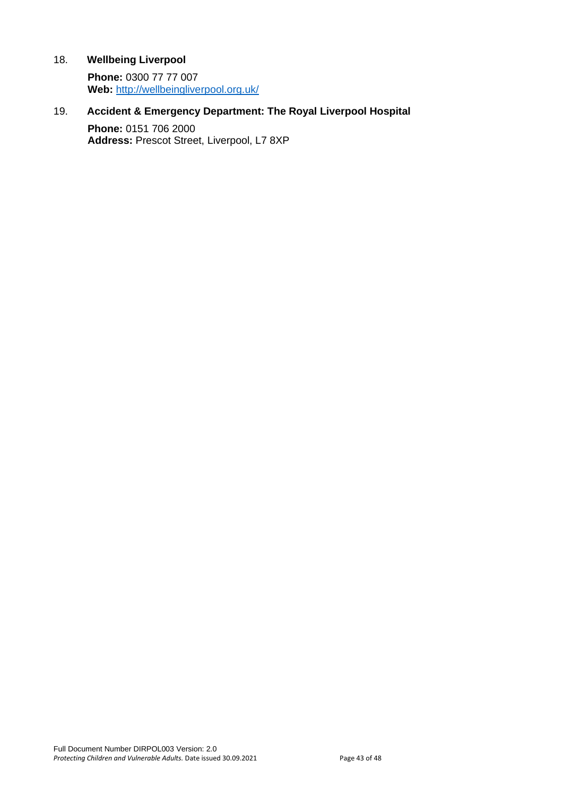#### 18. **Wellbeing Liverpool**

**Phone:** 0300 77 77 007 **Web:** <http://wellbeingliverpool.org.uk/>

### 19. **Accident & Emergency Department: The Royal Liverpool Hospital**

**Phone:** 0151 706 2000 **Address:** Prescot Street, Liverpool, L7 8XP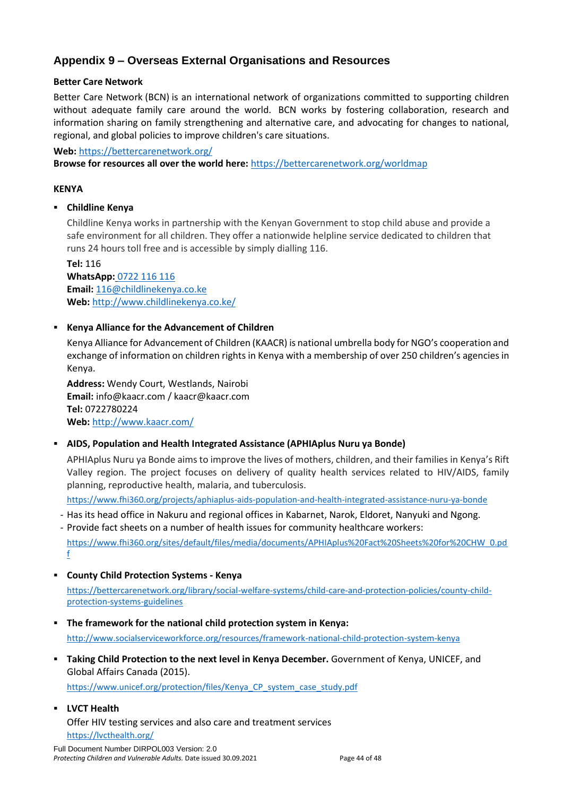### **Appendix 9 – Overseas External Organisations and Resources**

#### **Better Care Network**

Better Care Network (BCN) is an international network of organizations committed to supporting children without adequate family care around the world. BCN works by fostering collaboration, research and information sharing on family strengthening and alternative care, and advocating for changes to national, regional, and global policies to improve children's care situations.

**Web:** <https://bettercarenetwork.org/>

**Browse for resources all over the world here:** <https://bettercarenetwork.org/worldmap>

#### **KENYA**

#### ▪ **Childline Kenya**

Childline Kenya works in partnership with the Kenyan Government to stop child abuse and provide a safe environment for all children. They offer a nationwide helpline service dedicated to children that runs 24 hours toll free and is accessible by simply dialling 116.

**Tel:** 116 **WhatsApp:** 0722 116 116 **Email:** [116@childlinekenya.co.ke](mailto:116@childlinekenya.co.ke) **Web:** <http://www.childlinekenya.co.ke/>

#### ▪ **Kenya Alliance for the Advancement of Children**

Kenya Alliance for Advancement of Children (KAACR) is national umbrella body for NGO's cooperation and exchange of information on children rights in Kenya with a membership of over 250 children's agencies in Kenya.

**Address:** Wendy Court, Westlands, Nairobi **Email:** info@kaacr.com / kaacr@kaacr.com **Tel:** 0722780224 **Web:** <http://www.kaacr.com/>

#### ▪ **AIDS, Population and Health Integrated Assistance (APHIAplus Nuru ya Bonde)**

APHIAplus Nuru ya Bonde aims to improve the lives of mothers, children, and their families in Kenya's Rift Valley region. The project focuses on delivery of quality health services related to HIV/AIDS, family planning, reproductive health, malaria, and tuberculosis.

<https://www.fhi360.org/projects/aphiaplus-aids-population-and-health-integrated-assistance-nuru-ya-bonde>

- Has its head office in Nakuru and regional offices in Kabarnet, Narok, Eldoret, Nanyuki and Ngong.

- Provide fact sheets on a number of health issues for community healthcare workers:

[https://www.fhi360.org/sites/default/files/media/documents/APHIAplus%20Fact%20Sheets%20for%20CHW\\_0.pd](https://www.fhi360.org/sites/default/files/media/documents/APHIAplus%20Fact%20Sheets%20for%20CHW_0.pdf) [f](https://www.fhi360.org/sites/default/files/media/documents/APHIAplus%20Fact%20Sheets%20for%20CHW_0.pdf)

▪ **County Child Protection Systems - Kenya**

[https://bettercarenetwork.org/library/social-welfare-systems/child-care-and-protection-policies/county-child](https://bettercarenetwork.org/library/social-welfare-systems/child-care-and-protection-policies/county-child-protection-systems-guidelines)[protection-systems-guidelines](https://bettercarenetwork.org/library/social-welfare-systems/child-care-and-protection-policies/county-child-protection-systems-guidelines)

- **The framework for the national child protection system in Kenya:** <http://www.socialserviceworkforce.org/resources/framework-national-child-protection-system-kenya>
- **Taking Child Protection to the next level in Kenya December.** Government of Kenya, UNICEF, and Global Affairs Canada (2015).

[https://www.unicef.org/protection/files/Kenya\\_CP\\_system\\_case\\_study.pdf](https://www.unicef.org/protection/files/Kenya_CP_system_case_study.pdf)

▪ **LVCT Health** Offer HIV testing services and also care and treatment services <https://lvcthealth.org/>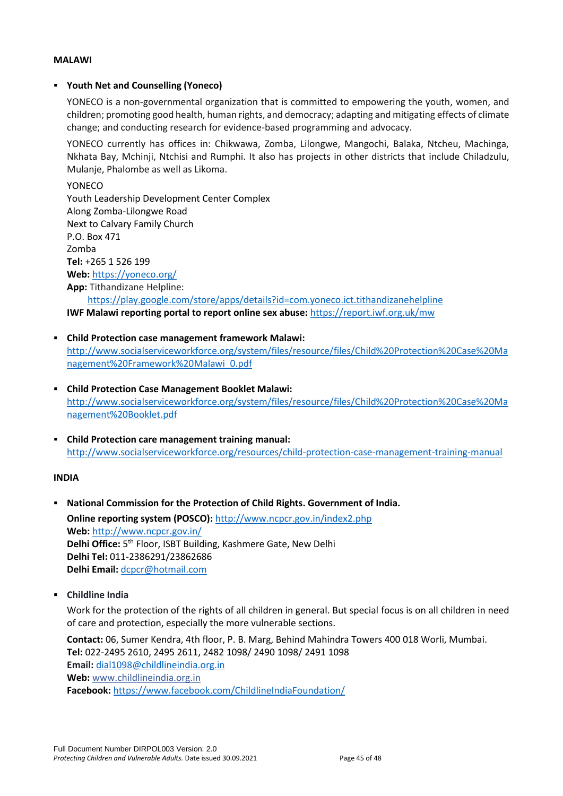#### **MALAWI**

#### ▪ **Youth Net and Counselling (Yoneco)**

YONECO is a non-governmental organization that is committed to empowering the youth, women, and children; promoting good health, human rights, and democracy; adapting and mitigating effects of climate change; and conducting research for evidence-based programming and advocacy.

YONECO currently has offices in: Chikwawa, Zomba, Lilongwe, Mangochi, Balaka, Ntcheu, Machinga, Nkhata Bay, Mchinji, Ntchisi and Rumphi. It also has projects in other districts that include Chiladzulu, Mulanje, Phalombe as well as Likoma.

YONECO Youth Leadership Development Center Complex Along Zomba-Lilongwe Road Next to Calvary Family Church P.O. Box 471 Zomba **Tel:** +265 1 526 199 **Web:** <https://yoneco.org/> **App:** Tithandizane Helpline: <https://play.google.com/store/apps/details?id=com.yoneco.ict.tithandizanehelpline> **IWF Malawi reporting portal to report online sex abuse:** <https://report.iwf.org.uk/mw>

- **Child Protection case management framework Malawi:** [http://www.socialserviceworkforce.org/system/files/resource/files/Child%20Protection%20Case%20Ma](http://www.socialserviceworkforce.org/system/files/resource/files/Child%20Protection%20Case%20Management%20Framework%20Malawi_0.pdf) [nagement%20Framework%20Malawi\\_0.pdf](http://www.socialserviceworkforce.org/system/files/resource/files/Child%20Protection%20Case%20Management%20Framework%20Malawi_0.pdf)
- **Child Protection Case Management Booklet Malawi:** [http://www.socialserviceworkforce.org/system/files/resource/files/Child%20Protection%20Case%20Ma](http://www.socialserviceworkforce.org/system/files/resource/files/Child%20Protection%20Case%20Management%20Booklet.pdf) [nagement%20Booklet.pdf](http://www.socialserviceworkforce.org/system/files/resource/files/Child%20Protection%20Case%20Management%20Booklet.pdf)
- **Child Protection care management training manual:** <http://www.socialserviceworkforce.org/resources/child-protection-case-management-training-manual>

#### **INDIA**

- **National Commission for the Protection of Child Rights. Government of India. Online reporting system (POSCO):** <http://www.ncpcr.gov.in/index2.php> **Web:** <http://www.ncpcr.gov.in/> Delhi Office: 5<sup>th</sup> Floor, ISBT Building, Kashmere Gate, New Delhi **Delhi Tel:** 011-2386291/23862686 **Delhi Email:** [dcpcr@hotmail.com](mailto:dcpcr@hotmail.com)
- **Childline India**

Work for the protection of the rights of all children in general. But special focus is on all children in need of care and protection, especially the more vulnerable sections.

**Contact:** 06, Sumer Kendra, 4th floor, P. B. Marg, Behind Mahindra Towers 400 018 Worli, Mumbai. **Tel:** 022-2495 2610, 2495 2611, 2482 1098/ 2490 1098/ 2491 1098 **Email:** [dial1098@childlineindia.org.in](mailto:dial1098@childlineindia.org.in) **Web:** [www.childlineindia.org.in](http://www.childlineindia.org.in/) **Facebook:** <https://www.facebook.com/ChildlineIndiaFoundation/>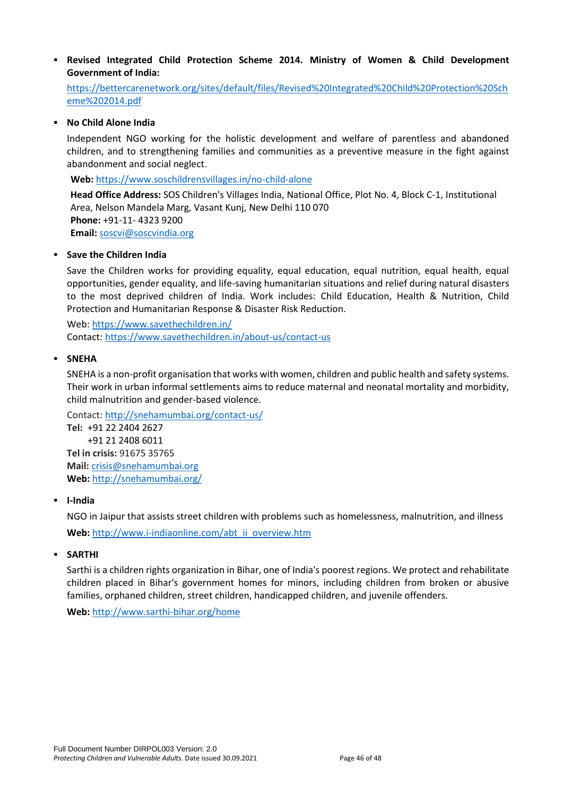▪ **Revised Integrated Child Protection Scheme 2014. Ministry of Women & Child Development Government of India:**

[https://bettercarenetwork.org/sites/default/files/Revised%20Integrated%20Child%20Protection%20Sch](https://bettercarenetwork.org/sites/default/files/Revised%20Integrated%20Child%20Protection%20Scheme%202014.pdf) [eme%202014.pdf](https://bettercarenetwork.org/sites/default/files/Revised%20Integrated%20Child%20Protection%20Scheme%202014.pdf)

#### ▪ **No Child Alone India**

Independent NGO working for the holistic development and welfare of parentless and abandoned children, and to strengthening families and communities as a preventive measure in the fight against abandonment and social neglect.

**Web:** <https://www.soschildrensvillages.in/no-child-alone>

**Head Office Address:** SOS Children's Villages India, National Office, Plot No. 4, Block C-1, Institutional Area, Nelson Mandela Marg, Vasant Kunj, New Delhi 110 070 **Phone:** +91-11- 4323 9200 **Email:** [soscvi@soscvindia.org](mailto:soscvi@soscvindia.org)

#### ▪ **Save the Children India**

Save the Children works for providing equality, equal education, equal nutrition, equal health, equal opportunities, gender equality, and life-saving humanitarian situations and relief during natural disasters to the most deprived children of India. Work includes: Child Education, Health & Nutrition, Child Protection and Humanitarian Response & Disaster Risk Reduction.

Web:<https://www.savethechildren.in/> Contact:<https://www.savethechildren.in/about-us/contact-us>

#### ▪ **SNEHA**

SNEHA is a non-profit organisation that works with women, children and public health and safety systems. Their work in urban informal settlements aims to reduce maternal and neonatal mortality and morbidity, child malnutrition and gender-based violence.

Contact:<http://snehamumbai.org/contact-us/> **Tel:** +91 22 2404 2627 +91 21 2408 6011 **Tel in crisis:** 91675 35765 **Mail:** [crisis@snehamumbai.org](mailto:crisis@snehamumbai.org) **Web:** <http://snehamumbai.org/>

#### ▪ **I-India**

NGO in Jaipur that assists street children with problems such as homelessness, malnutrition, and illness Web: [http://www.i-indiaonline.com/abt\\_ii\\_overview.htm](http://www.i-indiaonline.com/abt_ii_overview.htm)

#### ▪ **SARTHI**

Sarthi is a children rights organization in Bihar, one of India's poorest regions. We protect and rehabilitate children placed in Bihar's government homes for minors, including children from broken or abusive families, orphaned children, street children, handicapped children, and juvenile offenders.

**Web:** <http://www.sarthi-bihar.org/home>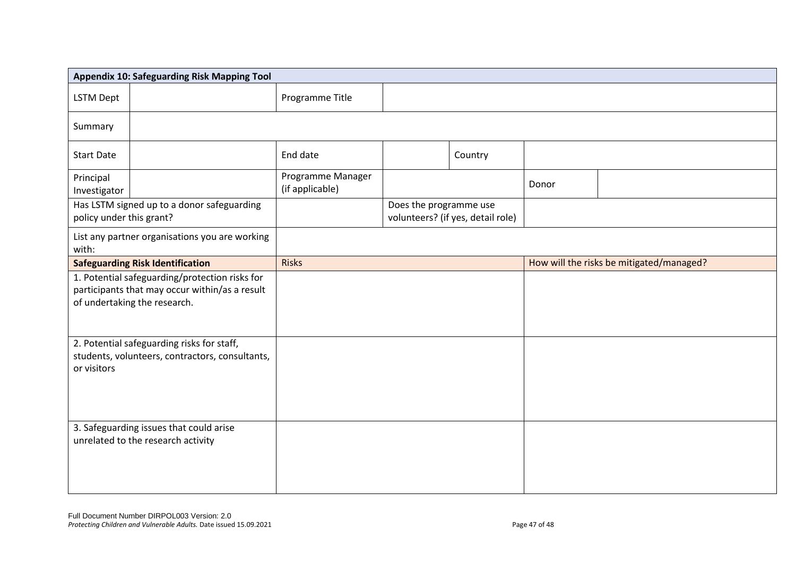| <b>Appendix 10: Safeguarding Risk Mapping Tool</b>                                                                               |                                      |                                                             |                                          |  |
|----------------------------------------------------------------------------------------------------------------------------------|--------------------------------------|-------------------------------------------------------------|------------------------------------------|--|
| <b>LSTM Dept</b>                                                                                                                 | Programme Title                      |                                                             |                                          |  |
| Summary                                                                                                                          |                                      |                                                             |                                          |  |
| <b>Start Date</b>                                                                                                                | End date                             | Country                                                     |                                          |  |
| Principal<br>Investigator                                                                                                        | Programme Manager<br>(if applicable) |                                                             | Donor                                    |  |
| Has LSTM signed up to a donor safeguarding<br>policy under this grant?                                                           |                                      | Does the programme use<br>volunteers? (if yes, detail role) |                                          |  |
| List any partner organisations you are working<br>with:                                                                          |                                      |                                                             |                                          |  |
| <b>Safeguarding Risk Identification</b>                                                                                          | <b>Risks</b>                         |                                                             | How will the risks be mitigated/managed? |  |
| 1. Potential safeguarding/protection risks for<br>participants that may occur within/as a result<br>of undertaking the research. |                                      |                                                             |                                          |  |
| 2. Potential safeguarding risks for staff,<br>students, volunteers, contractors, consultants,<br>or visitors                     |                                      |                                                             |                                          |  |
| 3. Safeguarding issues that could arise<br>unrelated to the research activity                                                    |                                      |                                                             |                                          |  |